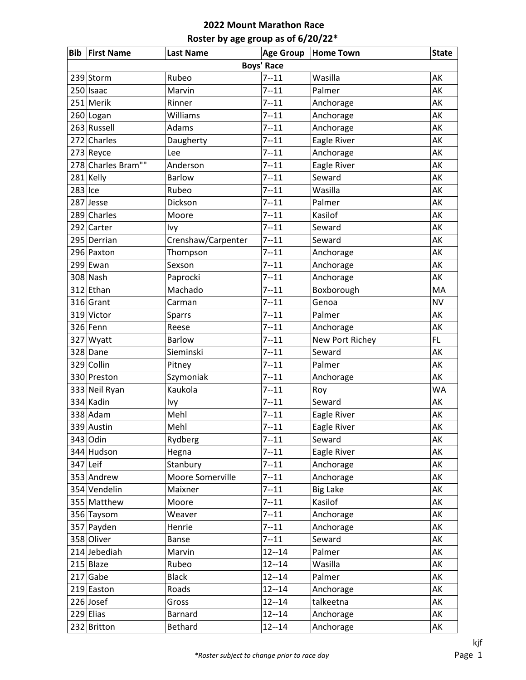|           | <b>Bib First Name</b> | <b>Last Name</b>   | <b>Age Group</b>  | <b>Home Town</b> | <b>State</b> |
|-----------|-----------------------|--------------------|-------------------|------------------|--------------|
|           |                       |                    | <b>Boys' Race</b> |                  |              |
|           | 239 Storm             | Rubeo              | $7 - 11$          | Wasilla          | AK           |
|           | $250$   Isaac         | Marvin             | $7 - 11$          | Palmer           | AK           |
|           | 251 Merik             | Rinner             | $7 - 11$          | Anchorage        | AK           |
|           | 260 Logan             | Williams           | $7 - 11$          | Anchorage        | AK           |
|           | 263 Russell           | Adams              | $7 - 11$          | Anchorage        | AK           |
|           | 272 Charles           | Daugherty          | $7 - 11$          | Eagle River      | AK           |
|           | $273$ Reyce           | Lee                | $7 - 11$          | Anchorage        | AK           |
|           | 278 Charles Bram""    | Anderson           | $7 - 11$          | Eagle River      | AK           |
|           | 281 Kelly             | <b>Barlow</b>      | $7 - 11$          | Seward           | AK           |
| $283$ Ice |                       | Rubeo              | $7 - 11$          | Wasilla          | AK           |
|           | 287 Jesse             | Dickson            | $7 - 11$          | Palmer           | AK           |
|           | 289 Charles           | Moore              | $7 - 11$          | Kasilof          | AK           |
|           | 292 Carter            | Ivy                | $7 - 11$          | Seward           | AK           |
|           | 295 Derrian           | Crenshaw/Carpenter | $7 - 11$          | Seward           | AK           |
|           | 296 Paxton            | Thompson           | $7 - 11$          | Anchorage        | AK           |
|           | 299 Ewan              | Sexson             | $7 - 11$          | Anchorage        | AK           |
|           | 308 Nash              | Paprocki           | $7 - 11$          | Anchorage        | AK           |
|           | 312 Ethan             | Machado            | $7 - 11$          | Boxborough       | MA           |
|           | 316 Grant             | Carman             | $7 - 11$          | Genoa            | <b>NV</b>    |
|           | 319 Victor            | <b>Sparrs</b>      | $7 - 11$          | Palmer           | AK           |
|           | 326 Fenn              | Reese              | $7 - 11$          | Anchorage        | AK           |
|           | 327 Wyatt             | Barlow             | $7 - 11$          | New Port Richey  | FL.          |
|           | 328 Dane              | Sieminski          | $7 - 11$          | Seward           | AK           |
|           | 329 Collin            | Pitney             | $7 - 11$          | Palmer           | AK           |
|           | 330 Preston           | Szymoniak          | $7 - 11$          | Anchorage        | AK           |
|           | 333 Neil Ryan         | Kaukola            | $7 - 11$          | Roy              | <b>WA</b>    |
|           | 334 Kadin             | Ivy                | $7 - 11$          | Seward           | AK           |
|           | $338$ Adam            | Mehl               | $7 - 11$          | Eagle River      | AK           |
|           | 339 Austin            | Mehl               | $7 - 11$          | Eagle River      | АK           |
|           | 343 Odin              | Rydberg            | $7 - 11$          | Seward           | AK           |
|           | 344 Hudson            | Hegna              | $7 - 11$          | Eagle River      | АK           |
|           | $347$ Leif            | Stanbury           | $7 - 11$          | Anchorage        | АK           |
|           | 353 Andrew            | Moore Somerville   | $7 - 11$          | Anchorage        | AK           |
|           | 354 Vendelin          | Maixner            | $7 - 11$          | <b>Big Lake</b>  | AK           |
|           | 355 Matthew           | Moore              | $7 - 11$          | Kasilof          | AK           |
|           | 356 Taysom            | Weaver             | $7 - 11$          | Anchorage        | AK           |
|           | 357 Payden            | Henrie             | $7 - 11$          | Anchorage        | AK           |
|           | 358 Oliver            | <b>Banse</b>       | $7 - 11$          | Seward           | AK           |
|           | 214 Jebediah          | Marvin             | $12 - 14$         | Palmer           | AK           |
|           | 215 Blaze             | Rubeo              | $12 - 14$         | Wasilla          | AK           |
|           | $217$ Gabe            | <b>Black</b>       | $12 - 14$         | Palmer           | АK           |
|           | 219 Easton            | Roads              | $12 - 14$         | Anchorage        | AK           |
|           | $226$ Josef           | Gross              | $12 - 14$         | talkeetna        | AK           |
|           | $229$ Elias           | Barnard            | $12 - 14$         | Anchorage        | AK           |
|           | 232 Britton           | Bethard            | $12 - 14$         | Anchorage        | АK           |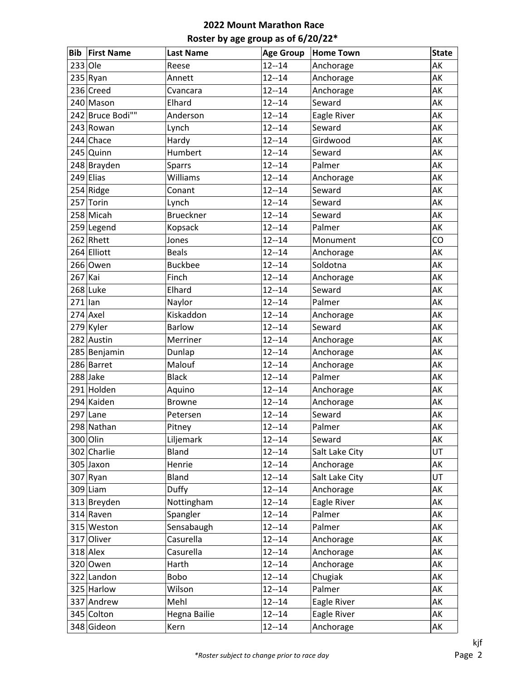| <b>Bib</b> | <b>First Name</b> | <b>Last Name</b> | <b>Age Group</b> | <b>Home Town</b> | <b>State</b> |
|------------|-------------------|------------------|------------------|------------------|--------------|
| $233 O$ le |                   | Reese            | $12 - 14$        | Anchorage        | AK           |
|            | 235 Ryan          | Annett           | $12 - 14$        | Anchorage        | AK           |
|            | 236 Creed         | Cvancara         | $12 - 14$        | Anchorage        | AK           |
|            | 240 Mason         | Elhard           | $12 - 14$        | Seward           | AK           |
|            | 242 Bruce Bodi""  | Anderson         | $12 - 14$        | Eagle River      | AK           |
|            | 243 Rowan         | Lynch            | $12 - 14$        | Seward           | AK           |
|            | 244 Chace         | Hardy            | $12 - 14$        | Girdwood         | AK           |
|            | 245 Quinn         | Humbert          | $12 - 14$        | Seward           | AK           |
|            | 248 Brayden       | <b>Sparrs</b>    | $12 - 14$        | Palmer           | AK           |
|            | $249$ Elias       | Williams         | $12 - 14$        | Anchorage        | AK           |
|            | 254 Ridge         | Conant           | $12 - 14$        | Seward           | AK           |
|            | 257 Torin         | Lynch            | $12 - 14$        | Seward           | AK           |
|            | 258 Micah         | <b>Brueckner</b> | $12 - 14$        | Seward           | AK           |
|            | 259 Legend        | Kopsack          | $12 - 14$        | Palmer           | AK           |
|            | $262$ Rhett       | Jones            | $12 - 14$        | Monument         | CO           |
|            | 264 Elliott       | <b>Beals</b>     | $12 - 14$        | Anchorage        | AK           |
|            | 266 Owen          | <b>Buckbee</b>   | $12 - 14$        | Soldotna         | AK           |
| $267$ Kai  |                   | Finch            | $12 - 14$        | Anchorage        | AK           |
|            | 268 Luke          | Elhard           | $12 - 14$        | Seward           | AK           |
| $271$  lan |                   | Naylor           | $12 - 14$        | Palmer           | AK           |
|            | $274$ Axel        | Kiskaddon        | $12 - 14$        | Anchorage        | AK           |
|            | 279 Kyler         | <b>Barlow</b>    | $12 - 14$        | Seward           | AK           |
|            | 282 Austin        | Merriner         | $12 - 14$        | Anchorage        | AK           |
|            | 285 Benjamin      | Dunlap           | $12 - 14$        | Anchorage        | AK           |
|            | 286 Barret        | Malouf           | $12 - 14$        | Anchorage        | AK           |
|            | 288 Jake          | <b>Black</b>     | $12 - 14$        | Palmer           | AK           |
|            | 291 Holden        | Aquino           | $12 - 14$        | Anchorage        | AK           |
|            | 294 Kaiden        | <b>Browne</b>    | $12 - 14$        | Anchorage        | AK           |
|            | $297$ Lane        | Petersen         | $12 - 14$        | Seward           | AK           |
|            | 298 Nathan        | Pitney           | $12 - 14$        | Palmer           | AK           |
|            | 300 Olin          | Liljemark        | $12 - 14$        | Seward           | AK           |
|            | 302 Charlie       | Bland            | $12 - 14$        | Salt Lake City   | UT           |
|            | 305 Jaxon         | Henrie           | $12 - 14$        | Anchorage        | AK           |
|            | $307$ Ryan        | Bland            | $12 - 14$        | Salt Lake City   | UT           |
|            | $309$  Liam       | Duffy            | $12 - 14$        | Anchorage        | AK           |
|            | 313 Breyden       | Nottingham       | $12 - 14$        | Eagle River      | AK           |
|            | 314 Raven         | Spangler         | $12 - 14$        | Palmer           | AK           |
|            | 315 Weston        | Sensabaugh       | $12 - 14$        | Palmer           | AK           |
|            | 317 Oliver        | Casurella        | $12 - 14$        | Anchorage        | AK           |
|            | $318$ Alex        | Casurella        | $12 - 14$        | Anchorage        | AK           |
|            | 320 Owen          | Harth            | $12 - 14$        | Anchorage        | AK           |
|            | 322 Landon        | Bobo             | $12 - 14$        | Chugiak          | AK           |
|            | 325 Harlow        | Wilson           | $12 - 14$        | Palmer           | AK           |
|            | 337 Andrew        | Mehl             | $12 - 14$        | Eagle River      | AK           |
|            | 345 Colton        | Hegna Bailie     | $12 - 14$        | Eagle River      | AK           |
|            | 348 Gideon        | Kern             | $12 - 14$        | Anchorage        | AK           |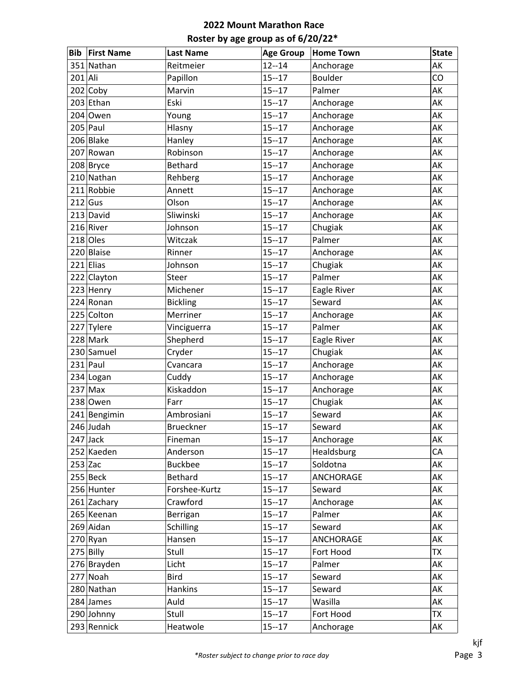| <b>Bib</b> | <b>First Name</b> | <b>Last Name</b> | <b>Age Group</b> | <b>Home Town</b> | <b>State</b> |
|------------|-------------------|------------------|------------------|------------------|--------------|
|            | 351 Nathan        | Reitmeier        | $12 - 14$        | Anchorage        | AK           |
| 201 Ali    |                   | Papillon         | $15 - 17$        | Boulder          | CO           |
|            | $202$ Coby        | Marvin           | $15 - 17$        | Palmer           | AK           |
|            | 203 Ethan         | Eski             | $15 - 17$        | Anchorage        | AK           |
|            | $204$ Owen        | Young            | $15 - 17$        | Anchorage        | AK           |
|            | $205$ Paul        | Hlasny           | $15 - 17$        | Anchorage        | AK           |
|            | 206 Blake         | Hanley           | $15 - 17$        | Anchorage        | AK           |
|            | 207 Rowan         | Robinson         | $15 - 17$        | Anchorage        | AK           |
|            | 208 Bryce         | <b>Bethard</b>   | $15 - 17$        | Anchorage        | AK           |
|            | 210 Nathan        | Rehberg          | $15 - 17$        | Anchorage        | AK           |
|            | 211 Robbie        | Annett           | $15 - 17$        | Anchorage        | AK           |
|            | $212$ Gus         | Olson            | $15 - 17$        | Anchorage        | AK           |
|            | $213$ David       | Sliwinski        | $15 - 17$        | Anchorage        | AK           |
|            | 216 River         | Johnson          | $15 - 17$        | Chugiak          | AK           |
|            | $218$ Oles        | Witczak          | $15 - 17$        | Palmer           | AK           |
|            | 220 Blaise        | Rinner           | $15 - 17$        | Anchorage        | AK           |
|            | $221$  Elias      | Johnson          | $15 - 17$        | Chugiak          | AK           |
|            | 222 Clayton       | Steer            | $15 - 17$        | Palmer           | AK           |
|            | 223 Henry         | Michener         | $15 - 17$        | Eagle River      | AK           |
|            | 224 Ronan         | <b>Bickling</b>  | $15 - 17$        | Seward           | AK           |
|            | 225 Colton        | Merriner         | $15 - 17$        | Anchorage        | AK           |
|            | 227 Tylere        | Vinciguerra      | $15 - 17$        | Palmer           | AK           |
|            | 228 Mark          | Shepherd         | $15 - 17$        | Eagle River      | AK           |
|            | 230 Samuel        | Cryder           | $15 - 17$        | Chugiak          | AK           |
|            | $231$ Paul        | Cvancara         | $15 - 17$        | Anchorage        | AK           |
|            | 234 Logan         | Cuddy            | $15 - 17$        | Anchorage        | AK           |
|            | $237$ Max         | Kiskaddon        | $15 - 17$        | Anchorage        | AK           |
|            | 238 Owen          | Farr             | $15 - 17$        | Chugiak          | AK           |
|            | 241 Bengimin      | Ambrosiani       | $15 - 17$        | Seward           | AK           |
|            | 246 Judah         | <b>Brueckner</b> | $15 - 17$        | Seward           | AK           |
|            | $247$ Jack        | Fineman          | $15 - 17$        | Anchorage        | AK           |
|            | 252 Kaeden        | Anderson         | $15 - 17$        | Healdsburg       | CA           |
| $253$ Zac  |                   | <b>Buckbee</b>   | $15 - 17$        | Soldotna         | AK           |
|            | $255$ Beck        | <b>Bethard</b>   | $15 - 17$        | ANCHORAGE        | AK           |
|            | 256 Hunter        | Forshee-Kurtz    | $15 - 17$        | Seward           | AK           |
|            | 261 Zachary       | Crawford         | $15 - 17$        | Anchorage        | AK           |
|            | 265 Keenan        | Berrigan         | $15 - 17$        | Palmer           | AK           |
|            | 269 Aidan         | Schilling        | $15 - 17$        | Seward           | AK           |
|            | $270$ Ryan        | Hansen           | $15 - 17$        | ANCHORAGE        | AK           |
|            | $275$ Billy       | Stull            | $15 - 17$        | Fort Hood        | <b>TX</b>    |
|            | 276 Brayden       | Licht            | $15 - 17$        | Palmer           | AK           |
|            | 277 Noah          | <b>Bird</b>      | $15 - 17$        | Seward           | AK           |
|            | 280 Nathan        | <b>Hankins</b>   | $15 - 17$        | Seward           | AK           |
|            | $284$ James       | Auld             | $15 - 17$        | Wasilla          | AK           |
|            | 290 Johnny        | Stull            | $15 - 17$        | Fort Hood        | TX           |
|            | 293 Rennick       | Heatwole         | $15 - 17$        | Anchorage        | AK           |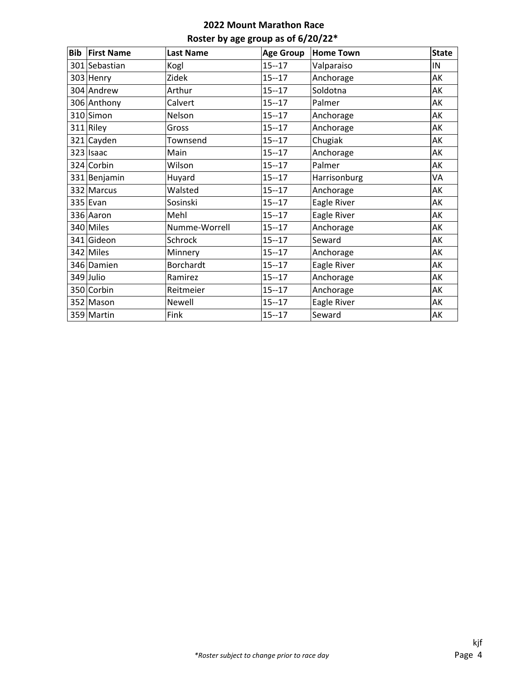| Bib | <b>First Name</b> | <b>Last Name</b> | <b>Age Group</b> | <b>Home Town</b> | <b>State</b> |
|-----|-------------------|------------------|------------------|------------------|--------------|
|     | 301 Sebastian     | Kogl             | $15 - 17$        | Valparaiso       | IN           |
|     | 303 Henry         | Zidek            | $15 - 17$        | Anchorage        | AK           |
|     | 304 Andrew        | Arthur           | $15 - 17$        | Soldotna         | AK           |
|     | 306 Anthony       | Calvert          | $15 - 17$        | Palmer           | AK           |
|     | 310 Simon         | Nelson           | $15 - 17$        | Anchorage        | AK           |
|     | $311$ Riley       | Gross            | $15 - 17$        | Anchorage        | AK           |
|     | 321 Cayden        | Townsend         | $15 - 17$        | Chugiak          | AK           |
|     | $323$ Isaac       | Main             | $15 - 17$        | Anchorage        | AK           |
|     | 324 Corbin        | Wilson           | $15 - 17$        | Palmer           | AK           |
|     | 331 Benjamin      | Huyard           | $15 - 17$        | Harrisonburg     | VA           |
|     | 332 Marcus        | Walsted          | $15 - 17$        | Anchorage        | AK           |
|     | $335$ Evan        | Sosinski         | $15 - 17$        | Eagle River      | AK           |
|     | 336 Aaron         | Mehl             | $15 - 17$        | Eagle River      | AK           |
|     | 340 Miles         | Numme-Worrell    | $15 - 17$        | Anchorage        | AK           |
|     | 341 Gideon        | Schrock          | $15 - 17$        | Seward           | AK           |
|     | 342 Miles         | Minnery          | $15 - 17$        | Anchorage        | AK           |
|     | 346 Damien        | Borchardt        | $15 - 17$        | Eagle River      | AK           |
|     | 349 Julio         | Ramirez          | $15 - 17$        | Anchorage        | AK           |
|     | 350 Corbin        | Reitmeier        | $15 - 17$        | Anchorage        | AK           |
|     | 352 Mason         | Newell           | $15 - 17$        | Eagle River      | AK           |
|     | 359 Martin        | Fink             | $15 - 17$        | Seward           | AK           |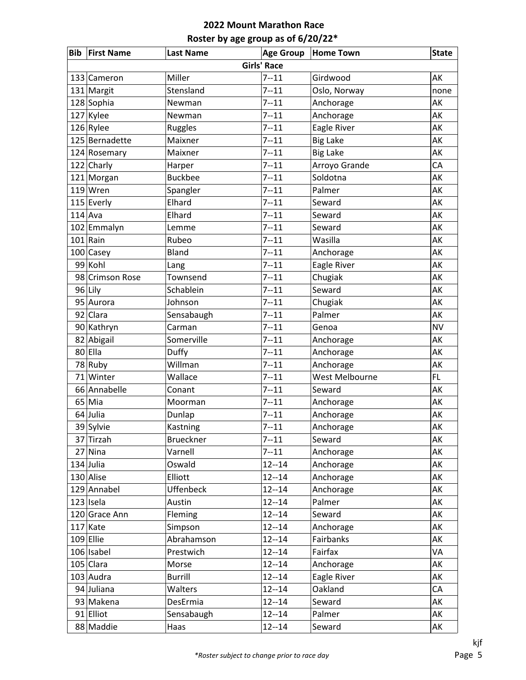|           | <b>Bib First Name</b> | <b>Last Name</b> | <b>Age Group</b>   | <b>Home Town</b> | <b>State</b> |
|-----------|-----------------------|------------------|--------------------|------------------|--------------|
|           |                       |                  | <b>Girls' Race</b> |                  |              |
|           | 133 Cameron           | Miller           | $7 - 11$           | Girdwood         | AK           |
|           | 131 Margit            | Stensland        | $7 - 11$           | Oslo, Norway     | none         |
|           | 128 Sophia            | Newman           | $7 - 11$           | Anchorage        | AK           |
|           | 127 Kylee             | Newman           | $7 - 11$           | Anchorage        | AK           |
|           | $126$ Rylee           | Ruggles          | $7 - 11$           | Eagle River      | AK           |
|           | 125 Bernadette        | Maixner          | $7 - 11$           | <b>Big Lake</b>  | AK           |
|           | 124 Rosemary          | Maixner          | $7 - 11$           | <b>Big Lake</b>  | AK           |
|           | 122 Charly            | Harper           | $7 - 11$           | Arroyo Grande    | CA           |
|           | 121 Morgan            | <b>Buckbee</b>   | $7 - 11$           | Soldotna         | AK           |
|           | $119$ Wren            | Spangler         | $7 - 11$           | Palmer           | AK           |
|           | 115 Everly            | Elhard           | $7 - 11$           | Seward           | AK           |
| $114$ Ava |                       | Elhard           | $7 - 11$           | Seward           | AK           |
|           | 102 Emmalyn           | Lemme            | $7 - 11$           | Seward           | AK           |
|           | $101$ Rain            | Rubeo            | $7 - 11$           | Wasilla          | AK           |
|           | $100$ Casey           | <b>Bland</b>     | $7 - 11$           | Anchorage        | AK           |
|           | 99 Kohl               | Lang             | $7 - 11$           | Eagle River      | AK           |
|           | 98 Crimson Rose       | Townsend         | $7 - 11$           | Chugiak          | AK           |
|           | 96 Lily               | Schablein        | $7 - 11$           | Seward           | AK           |
|           | 95 Aurora             | Johnson          | $7 - 11$           | Chugiak          | AK           |
|           | 92 Clara              | Sensabaugh       | $7 - 11$           | Palmer           | AK           |
|           | 90 Kathryn            | Carman           | $7 - 11$           | Genoa            | <b>NV</b>    |
|           | 82 Abigail            | Somerville       | $7 - 11$           | Anchorage        | AK           |
|           | 80 Ella               | Duffy            | $7 - 11$           | Anchorage        | AK           |
|           | 78 Ruby               | Willman          | $7 - 11$           | Anchorage        | AK           |
|           | 71 Winter             | Wallace          | $7 - 11$           | West Melbourne   | FL.          |
|           | 66 Annabelle          | Conant           | $7 - 11$           | Seward           | AK           |
|           | 65 Mia                | Moorman          | $7 - 11$           | Anchorage        | AK           |
|           | 64 Julia              | Dunlap           | $7 - 11$           | Anchorage        | AK           |
|           | 39 Sylvie             | Kastning         | $7 - 11$           | Anchorage        | AK           |
|           | 37 Tirzah             | <b>Brueckner</b> | $7 - 11$           | Seward           | AK           |
|           | $27$ Nina             | Varnell          | $7 - 11$           | Anchorage        | AK           |
|           | $134$ Julia           | Oswald           | $12 - 14$          | Anchorage        | AK           |
|           | 130 Alise             | Elliott          | $12 - 14$          | Anchorage        | AK           |
|           | 129 Annabel           | Uffenbeck        | $12 - 14$          | Anchorage        | AK           |
|           | 123 Isela             | Austin           | $12 - 14$          | Palmer           | AK           |
|           | 120 Grace Ann         | Fleming          | $12 - 14$          | Seward           | AK           |
|           | $117$ Kate            | Simpson          | $12 - 14$          | Anchorage        | AK           |
|           | $109$ Ellie           | Abrahamson       | $12 - 14$          | Fairbanks        | AK           |
|           | $106$ Isabel          | Prestwich        | $12 - 14$          | Fairfax          | VA           |
|           | $105$ Clara           | Morse            | $12 - 14$          | Anchorage        | AK           |
|           | 103 Audra             | <b>Burrill</b>   | $12 - 14$          | Eagle River      | AK           |
|           | 94 Juliana            | Walters          | $12 - 14$          | Oakland          | CA           |
|           | 93 Makena             | DesErmia         | $12 - 14$          | Seward           | AK           |
|           | 91 Elliot             | Sensabaugh       | $12 - 14$          | Palmer           | AK           |
|           | 88 Maddie             | Haas             | $12 - 14$          | Seward           | AK           |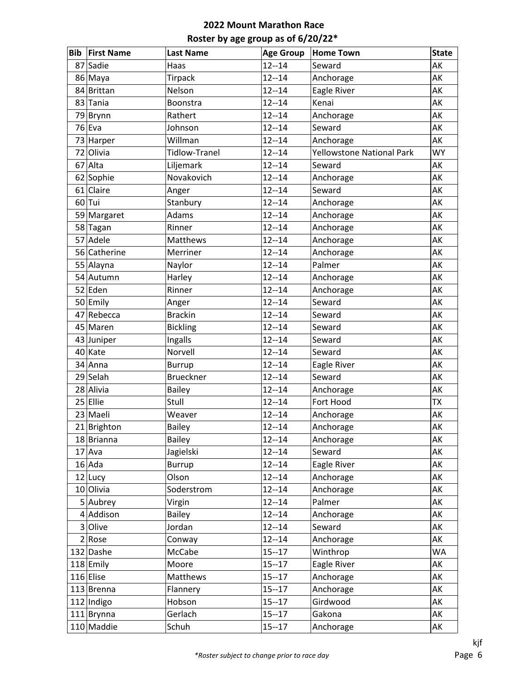| <b>Bib</b> | <b>First Name</b> | <b>Last Name</b>     | <b>Age Group</b> | <b>Home Town</b>                 | <b>State</b> |
|------------|-------------------|----------------------|------------------|----------------------------------|--------------|
| 87         | Sadie             | Haas                 | $12 - 14$        | Seward                           | AK           |
|            | 86 Maya           | <b>Tirpack</b>       | $12 - 14$        | Anchorage                        | AK           |
|            | 84 Brittan        | Nelson               | $12 - 14$        | Eagle River                      | AK           |
|            | 83 Tania          | <b>Boonstra</b>      | $12 - 14$        | Kenai                            | AK           |
|            | 79 Brynn          | Rathert              | $12 - 14$        | Anchorage                        | AK           |
|            | 76 Eva            | Johnson              | $12 - 14$        | Seward                           | AK           |
|            | 73 Harper         | Willman              | $12 - 14$        | Anchorage                        | AK           |
|            | 72 Olivia         | <b>Tidlow-Tranel</b> | $12 - 14$        | <b>Yellowstone National Park</b> | <b>WY</b>    |
|            | 67 Alta           | Liljemark            | $12 - 14$        | Seward                           | AK           |
|            | 62 Sophie         | Novakovich           | $12 - 14$        | Anchorage                        | AK           |
|            | $61$ Claire       | Anger                | $12 - 14$        | Seward                           | AK           |
|            | $60$ Tui          | Stanbury             | $12 - 14$        | Anchorage                        | AK           |
|            | 59 Margaret       | Adams                | $12 - 14$        | Anchorage                        | AK           |
|            | 58 Tagan          | Rinner               | $12 - 14$        | Anchorage                        | AK           |
|            | 57 Adele          | Matthews             | $12 - 14$        | Anchorage                        | AK           |
|            | 56 Catherine      | Merriner             | $12 - 14$        | Anchorage                        | AK           |
|            | 55 Alayna         | Naylor               | $12 - 14$        | Palmer                           | AK           |
|            | 54 Autumn         | Harley               | $12 - 14$        | Anchorage                        | AK           |
|            | 52 Eden           | Rinner               | $12 - 14$        | Anchorage                        | AK           |
|            | 50 Emily          | Anger                | $12 - 14$        | Seward                           | AK           |
|            | 47 Rebecca        | <b>Brackin</b>       | $12 - 14$        | Seward                           | AK           |
|            | 45 Maren          | <b>Bickling</b>      | $12 - 14$        | Seward                           | AK           |
|            | 43 Juniper        | Ingalls              | $12 - 14$        | Seward                           | AK           |
|            | 40 Kate           | Norvell              | $12 - 14$        | Seward                           | AK           |
|            | 34 Anna           | <b>Burrup</b>        | $12 - 14$        | Eagle River                      | AK           |
|            | 29 Selah          | <b>Brueckner</b>     | $12 - 14$        | Seward                           | AK           |
|            | 28 Alivia         | <b>Bailey</b>        | $12 - 14$        | Anchorage                        | AK           |
|            | 25 Ellie          | Stull                | $12 - 14$        | Fort Hood                        | ТX           |
|            | 23 Maeli          | Weaver               | $12 - 14$        | Anchorage                        | AK           |
|            | 21 Brighton       | <b>Bailey</b>        | $12 - 14$        | Anchorage                        | AK           |
|            | 18 Brianna        | <b>Bailey</b>        | $12 - 14$        | Anchorage                        | AK           |
|            | $17$ Ava          | Jagielski            | $12 - 14$        | Seward                           | AK           |
|            | $16$ Ada          | <b>Burrup</b>        | $12 - 14$        | Eagle River                      | AK           |
|            | $12$ Lucy         | Olson                | $12 - 14$        | Anchorage                        | AK           |
|            | 10 Olivia         | Soderstrom           | $12 - 14$        | Anchorage                        | AK           |
|            | $5$ Aubrey        | Virgin               | $12 - 14$        | Palmer                           | AK           |
|            | $4$ Addison       | <b>Bailey</b>        | $12 - 14$        | Anchorage                        | АK           |
|            | 3 Olive           | Jordan               | $12 - 14$        | Seward                           | AK           |
|            | 2 Rose            | Conway               | $12 - 14$        | Anchorage                        | AK           |
|            | 132 Dashe         | McCabe               | $15 - 17$        | Winthrop                         | WA           |
|            | $118$ Emily       | Moore                | $15 - 17$        | Eagle River                      | AK           |
|            | 116 Elise         | Matthews             | $15 - 17$        | Anchorage                        | AK           |
|            | 113 Brenna        | Flannery             | $15 - 17$        | Anchorage                        | AK           |
|            | 112 Indigo        | Hobson               | $15 - 17$        | Girdwood                         | AK           |
|            | 111 Brynna        | Gerlach              | $15 - 17$        | Gakona                           | AK           |
|            | 110 Maddie        | Schuh                | $15 - 17$        | Anchorage                        | AK           |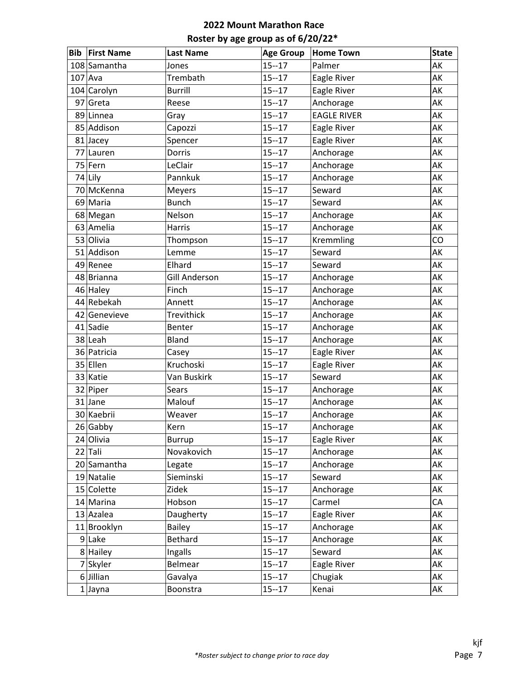| <b>Bib First Name</b> | <b>Last Name</b>     | <b>Age Group</b> | <b>Home Town</b>   | <b>State</b> |
|-----------------------|----------------------|------------------|--------------------|--------------|
| 108 Samantha          | Jones                | $15 - 17$        | Palmer             | AK           |
| $107$ Ava             | Trembath             | $15 - 17$        | Eagle River        | AK           |
| 104 Carolyn           | <b>Burrill</b>       | $15 - 17$        | Eagle River        | AK           |
| $97$ Greta            | Reese                | $15 - 17$        | Anchorage          | AK           |
| 89 Linnea             | Gray                 | $15 - 17$        | <b>EAGLE RIVER</b> | AK           |
| 85 Addison            | Capozzi              | $15 - 17$        | Eagle River        | AK           |
| 81 Jacey              | Spencer              | $15 - 17$        | Eagle River        | AK           |
| 77 Lauren             | Dorris               | $15 - 17$        | Anchorage          | AK           |
| 75 Fern               | LeClair              | $15 - 17$        | Anchorage          | AK           |
| 74 Lily               | Pannkuk              | $15 - 17$        | Anchorage          | AK           |
| 70 McKenna            | <b>Meyers</b>        | $15 - 17$        | Seward             | AK           |
| 69 Maria              | <b>Bunch</b>         | $15 - 17$        | Seward             | AK           |
| 68 Megan              | Nelson               | $15 - 17$        | Anchorage          | AK           |
| 63 Amelia             | Harris               | $15 - 17$        | Anchorage          | AK           |
| 53 Olivia             | Thompson             | $15 - 17$        | Kremmling          | CO           |
| 51 Addison            | Lemme                | $15 - 17$        | Seward             | AK           |
| 49 Renee              | Elhard               | $15 - 17$        | Seward             | AK           |
| 48 Brianna            | <b>Gill Anderson</b> | $15 - 17$        | Anchorage          | AK           |
| 46 Haley              | Finch                | $15 - 17$        | Anchorage          | AK           |
| 44 Rebekah            | Annett               | $15 - 17$        | Anchorage          | AK           |
| 42 Genevieve          | Trevithick           | $15 - 17$        | Anchorage          | AK           |
| 41 Sadie              | Benter               | $15 - 17$        | Anchorage          | AK           |
| 38 Leah               | Bland                | $15 - 17$        | Anchorage          | AK           |
| 36 Patricia           | Casey                | $15 - 17$        | Eagle River        | AK           |
| 35 Ellen              | Kruchoski            | $15 - 17$        | Eagle River        | AK           |
| 33 Katie              | Van Buskirk          | $15 - 17$        | Seward             | AK           |
| 32 Piper              | <b>Sears</b>         | $15 - 17$        | Anchorage          | AK           |
| 31 Jane               | Malouf               | $15 - 17$        | Anchorage          | AK           |
| 30 Kaebrii            | Weaver               | $15 - 17$        | Anchorage          | AK           |
| $26$ Gabby            | Kern                 | $15 - 17$        | Anchorage          | AK           |
| 24 Olivia             | <b>Burrup</b>        | $15 - 17$        | Eagle River        | AK           |
| $22$ Tali             | Novakovich           | $15 - 17$        | Anchorage          | AK           |
| 20 Samantha           | Legate               | $15 - 17$        | Anchorage          | AK           |
| 19 Natalie            | Sieminski            | $15 - 17$        | Seward             | AK           |
| 15 Colette            | Zidek                | $15 - 17$        | Anchorage          | AK           |
| 14 Marina             | Hobson               | $15 - 17$        | Carmel             | CA           |
| $13$ Azalea           | Daugherty            | $15 - 17$        | Eagle River        | AK           |
| 11 Brooklyn           | <b>Bailey</b>        | $15 - 17$        | Anchorage          | AK           |
| $9$ Lake              | Bethard              | $15 - 17$        | Anchorage          | AK           |
| 8 Hailey              | Ingalls              | $15 - 17$        | Seward             | AK           |
| 7 Skyler              | Belmear              | $15 - 17$        | Eagle River        | AK           |
| $6$ Jillian           | Gavalya              | $15 - 17$        | Chugiak            | АK           |
| $1$ Jayna             | Boonstra             | $15 - 17$        | Kenai              | AK           |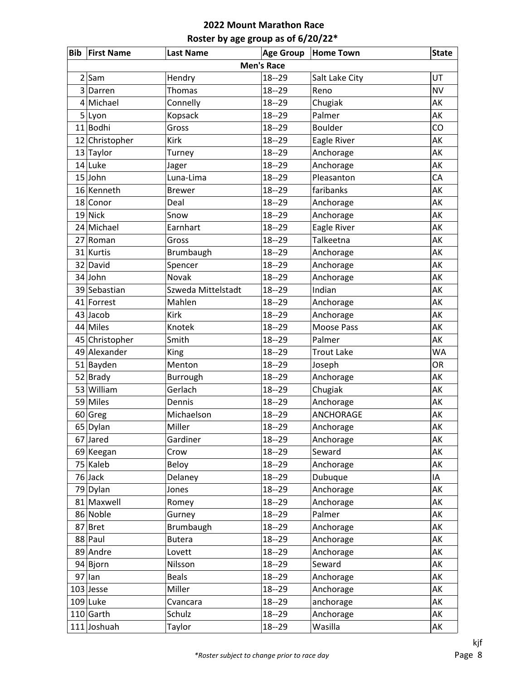|   | <b>Bib First Name</b> | <b>Last Name</b>   | <b>Age Group</b>  | <b>Home Town</b>  | <b>State</b> |
|---|-----------------------|--------------------|-------------------|-------------------|--------------|
|   |                       |                    | <b>Men's Race</b> |                   |              |
| 2 | Sam                   | Hendry             | $18 - 29$         | Salt Lake City    | UT           |
| 3 | Darren                | Thomas             | $18 - 29$         | Reno              | <b>NV</b>    |
| 4 | Michael               | Connelly           | $18 - 29$         | Chugiak           | AK           |
|   | 5 Lyon                | Kopsack            | $18 - 29$         | Palmer            | AK           |
|   | 11 Bodhi              | Gross              | $18 - 29$         | <b>Boulder</b>    | CO           |
|   | 12 Christopher        | Kirk               | $18 - 29$         | Eagle River       | AK           |
|   | 13 Taylor             | Turney             | $18 - 29$         | Anchorage         | AK           |
|   | 14 Luke               | Jager              | $18 - 29$         | Anchorage         | AK           |
|   | $15$ John             | Luna-Lima          | $18 - 29$         | Pleasanton        | CA           |
|   | 16 Kenneth            | <b>Brewer</b>      | $18 - 29$         | faribanks         | AK           |
|   | 18 Conor              | Deal               | $18 - 29$         | Anchorage         | AK           |
|   | $19$ Nick             | Snow               | $18 - 29$         | Anchorage         | AK           |
|   | 24 Michael            | Earnhart           | $18 - 29$         | Eagle River       | AK           |
|   | 27 Roman              | Gross              | $18 - 29$         | Talkeetna         | AK           |
|   | 31 Kurtis             | Brumbaugh          | $18 - 29$         | Anchorage         | AK           |
|   | 32 David              | Spencer            | $18 - 29$         | Anchorage         | AK           |
|   | 34 John               | Novak              | $18 - 29$         | Anchorage         | AK           |
|   | 39 Sebastian          | Szweda Mittelstadt | $18 - 29$         | Indian            | AK           |
|   | 41 Forrest            | Mahlen             | $18 - 29$         | Anchorage         | AK           |
|   | $43$ Jacob            | Kirk               | $18 - 29$         | Anchorage         | AK           |
|   | 44 Miles              | Knotek             | $18 - 29$         | Moose Pass        | AK           |
|   | 45 Christopher        | Smith              | $18 - 29$         | Palmer            | AK           |
|   | 49 Alexander          | King               | $18 - 29$         | <b>Trout Lake</b> | <b>WA</b>    |
|   | 51 Bayden             | Menton             | $18 - 29$         | Joseph            | OR           |
|   | $52$ Brady            | Burrough           | $18 - 29$         | Anchorage         | AK           |
|   | 53 William            | Gerlach            | $18 - 29$         | Chugiak           | AK           |
|   | 59 Miles              | Dennis             | $18 - 29$         | Anchorage         | AK           |
|   | 60 Greg               | Michaelson         | $18 - 29$         | <b>ANCHORAGE</b>  | AK           |
|   | 65 Dylan              | Miller             | $18 - 29$         | Anchorage         | AK           |
|   | 67 Jared              | Gardiner           | $18 - 29$         | Anchorage         | AK           |
|   | 69 Keegan             | Crow               | $18 - 29$         | Seward            | AK           |
|   | 75 Kaleb              | Beloy              | $18 - 29$         | Anchorage         | AK           |
|   | $76$ Jack             | Delaney            | $18 - 29$         | Dubuque           | IA           |
|   | 79 Dylan              | Jones              | $18 - 29$         | Anchorage         | AK           |
|   | 81 Maxwell            | Romey              | $18 - 29$         | Anchorage         | AK           |
|   | 86 Noble              | Gurney             | $18 - 29$         | Palmer            | AK           |
|   | 87 Bret               | Brumbaugh          | $18 - 29$         | Anchorage         | AK           |
|   | 88 Paul               | <b>Butera</b>      | $18 - 29$         | Anchorage         | AK           |
|   | 89 Andre              | Lovett             | $18 - 29$         | Anchorage         | AK           |
|   | 94 Bjorn              | Nilsson            | $18 - 29$         | Seward            | AK           |
|   | $97$  lan             | <b>Beals</b>       | $18 - 29$         | Anchorage         | AK           |
|   | $103$ Jesse           | Miller             | $18 - 29$         | Anchorage         | AK           |
|   | $109$ Luke            | Cvancara           | $18 - 29$         | anchorage         | AK           |
|   | $110$ Garth           | Schulz             | $18 - 29$         | Anchorage         | AK           |
|   | 111 Joshuah           | Taylor             | $18 - 29$         | Wasilla           | AK           |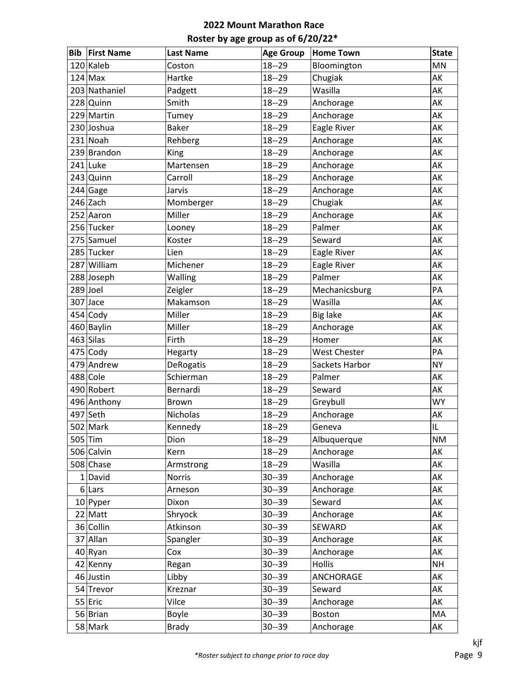| Bib | <b>First Name</b> | <b>Last Name</b> | <b>Age Group</b> | <b>Home Town</b>    | <b>State</b> |
|-----|-------------------|------------------|------------------|---------------------|--------------|
|     | 120 Kaleb         | Coston           | $18 - 29$        | Bloomington         | MN           |
|     | $124$ Max         | Hartke           | $18 - 29$        | Chugiak             | AK           |
|     | 203 Nathaniel     | Padgett          | $18 - 29$        | Wasilla             | AK           |
|     | 228 Quinn         | Smith            | $18 - 29$        | Anchorage           | AK           |
|     | 229 Martin        | Tumey            | $18 - 29$        | Anchorage           | AK           |
|     | 230 Joshua        | <b>Baker</b>     | $18 - 29$        | Eagle River         | AK           |
|     | 231 Noah          | Rehberg          | $18 - 29$        | Anchorage           | AK           |
|     | 239 Brandon       | King             | $18 - 29$        | Anchorage           | AK           |
|     | 241 Luke          | Martensen        | $18 - 29$        | Anchorage           | AK           |
|     | 243 Quinn         | Carroll          | $18 - 29$        | Anchorage           | AK           |
|     | $244$ Gage        | Jarvis           | $18 - 29$        | Anchorage           | AK           |
|     | 246 Zach          | Momberger        | $18 - 29$        | Chugiak             | AK           |
|     | 252 Aaron         | Miller           | $18 - 29$        | Anchorage           | AK           |
|     | 256 Tucker        | Looney           | $18 - 29$        | Palmer              | AK           |
|     | 275 Samuel        | Koster           | $18 - 29$        | Seward              | AK           |
|     | 285 Tucker        | Lien             | $18 - 29$        | Eagle River         | AK           |
|     | 287 William       | Michener         | $18 - 29$        | Eagle River         | AK           |
|     | 288 Joseph        | Walling          | $18 - 29$        | Palmer              | AK           |
|     | $289$ Joel        | Zeigler          | $18 - 29$        | Mechanicsburg       | PA           |
|     | $307$ Jace        | Makamson         | $18 - 29$        | Wasilla             | AK           |
|     | $454$ Cody        | Miller           | $18 - 29$        | <b>Big lake</b>     | AK           |
|     | 460 Baylin        | Miller           | $18 - 29$        | Anchorage           | AK           |
|     | $463$ Silas       | Firth            | $18 - 29$        | Homer               | AK           |
|     | $475$ Cody        | Hegarty          | $18 - 29$        | <b>West Chester</b> | PA           |
|     | 479 Andrew        | DeRogatis        | $18 - 29$        | Sackets Harbor      | <b>NY</b>    |
|     | 488 Cole          | Schierman        | $18 - 29$        | Palmer              | AK           |
|     | 490 Robert        | Bernardi         | $18 - 29$        | Seward              | AK           |
|     | 496 Anthony       | Brown            | $18 - 29$        | Greybull            | <b>WY</b>    |
|     | 497 Seth          | Nicholas         | $18 - 29$        | Anchorage           | AK           |
|     | $502$ Mark        | Kennedy          | $18 - 29$        | Geneva              | IL           |
|     | $505$ Tim         | Dion             | $18 - 29$        | Albuquerque         | <b>NM</b>    |
|     | 506 Calvin        | Kern             | $18 - 29$        | Anchorage           | AK           |
|     | 508 Chase         | Armstrong        | $18 - 29$        | Wasilla             | AK           |
|     | $1$ David         | <b>Norris</b>    | $30 - 39$        | Anchorage           | AK           |
|     | $6$  Lars         | Arneson          | $30 - 39$        | Anchorage           | AK           |
|     | $10$ Pyper        | Dixon            | $30 - 39$        | Seward              | AK           |
|     | $22$ Matt         | Shryock          | $30 - 39$        | Anchorage           | AK           |
|     | 36 Collin         | Atkinson         | $30 - 39$        | SEWARD              | AK           |
|     | 37 Allan          | Spangler         | $30 - 39$        | Anchorage           | AK           |
|     | $40$ Ryan         | Cox              | $30 - 39$        | Anchorage           | AK           |
|     | 42 Kenny          | Regan            | $30 - 39$        | Hollis              | <b>NH</b>    |
|     | 46 Justin         | Libby            | $30 - 39$        | ANCHORAGE           | AK           |
|     | 54 Trevor         | Kreznar          | $30 - 39$        | Seward              | AK           |
|     | 55 Eric           | Vilce            | $30 - 39$        | Anchorage           | AK           |
|     | 56 Brian          | Boyle            | $30 - 39$        | Boston              | MA           |
|     | 58 Mark           | <b>Brady</b>     | $30 - 39$        | Anchorage           | AK           |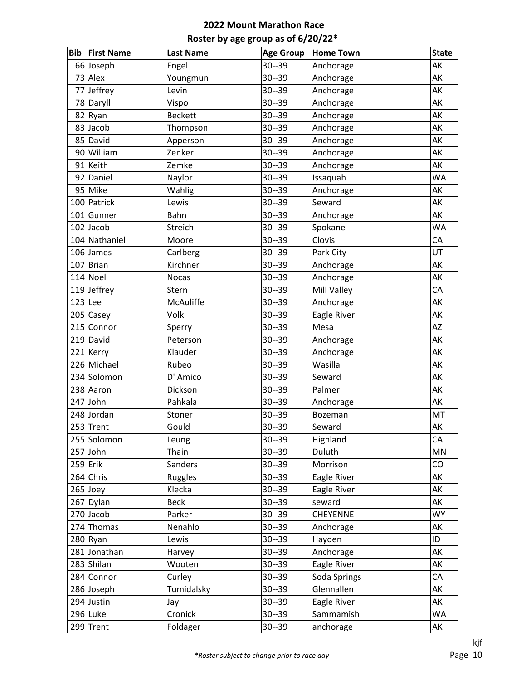| <b>Bib</b> | <b>First Name</b> | <b>Last Name</b> | <b>Age Group</b> | <b>Home Town</b> | <b>State</b> |
|------------|-------------------|------------------|------------------|------------------|--------------|
|            | 66 Joseph         | Engel            | $30 - 39$        | Anchorage        | AK           |
|            | $73$ Alex         | Youngmun         | $30 - 39$        | Anchorage        | AK           |
|            | 77 Jeffrey        | Levin            | $30 - 39$        | Anchorage        | AK           |
|            | 78 Daryll         | Vispo            | $30 - 39$        | Anchorage        | AK           |
|            | 82 Ryan           | <b>Beckett</b>   | $30 - 39$        | Anchorage        | AK           |
|            | 83 Jacob          | Thompson         | $30 - 39$        | Anchorage        | AK           |
|            | 85 David          | Apperson         | $30 - 39$        | Anchorage        | AK           |
|            | 90 William        | Zenker           | $30 - 39$        | Anchorage        | AK           |
|            | 91 Keith          | Zemke            | $30 - 39$        | Anchorage        | AK           |
|            | 92 Daniel         | Naylor           | $30 - 39$        | Issaquah         | <b>WA</b>    |
|            | 95 Mike           | Wahlig           | $30 - 39$        | Anchorage        | AK           |
|            | 100 Patrick       | Lewis            | $30 - 39$        | Seward           | AK           |
|            | 101 Gunner        | Bahn             | $30 - 39$        | Anchorage        | AK           |
|            | $102$ Jacob       | Streich          | $30 - 39$        | Spokane          | <b>WA</b>    |
|            | 104 Nathaniel     | Moore            | $30 - 39$        | Clovis           | CA           |
|            | 106 James         | Carlberg         | $30 - 39$        | Park City        | UT           |
|            | 107 Brian         | Kirchner         | $30 - 39$        | Anchorage        | AK           |
|            | $114$ Noel        | <b>Nocas</b>     | $30 - 39$        | Anchorage        | AK           |
|            | $119$ Jeffrey     | Stern            | $30 - 39$        | Mill Valley      | CA           |
| $123$ Lee  |                   | McAuliffe        | $30 - 39$        | Anchorage        | AK           |
|            | 205 Casey         | Volk             | $30 - 39$        | Eagle River      | AK           |
|            | 215 Connor        | Sperry           | $30 - 39$        | Mesa             | <b>AZ</b>    |
|            | 219 David         | Peterson         | $30 - 39$        | Anchorage        | AK           |
|            | 221 Kerry         | Klauder          | $30 - 39$        | Anchorage        | AK           |
|            | 226 Michael       | Rubeo            | $30 - 39$        | Wasilla          | AK           |
|            | 234 Solomon       | D' Amico         | $30 - 39$        | Seward           | AK           |
|            | 238 Aaron         | Dickson          | $30 - 39$        | Palmer           | AK           |
|            | 247 John          | Pahkala          | $30 - 39$        | Anchorage        | AK           |
|            | 248 Jordan        | Stoner           | $30 - 39$        | Bozeman          | MT           |
|            | 253 Trent         | Gould            | $30 - 39$        | Seward           | AK           |
|            | 255 Solomon       | Leung            | $30 - 39$        | Highland         | CA           |
|            | 257 John          | Thain            | $30 - 39$        | Duluth           | MN           |
|            | $259$ Erik        | Sanders          | $30 - 39$        | Morrison         | CO           |
|            | 264 Chris         | Ruggles          | $30 - 39$        | Eagle River      | AK           |
|            | $265$ Joey        | Klecka           | $30 - 39$        | Eagle River      | AK           |
|            | 267 Dylan         | <b>Beck</b>      | $30 - 39$        | seward           | AK           |
|            | $270$ Jacob       | Parker           | $30 - 39$        | CHEYENNE         | <b>WY</b>    |
|            | 274 Thomas        | Nenahlo          | $30 - 39$        | Anchorage        | AK           |
|            | 280 Ryan          | Lewis            | $30 - 39$        | Hayden           | ID           |
|            | 281 Jonathan      | Harvey           | $30 - 39$        | Anchorage        | AK           |
|            | 283 Shilan        | Wooten           | $30 - 39$        | Eagle River      | AK           |
|            | 284 Connor        | Curley           | $30 - 39$        | Soda Springs     | CA           |
|            | 286 Joseph        | Tumidalsky       | $30 - 39$        | Glennallen       | AK           |
|            | 294 Justin        | Jay              | $30 - 39$        | Eagle River      | AK           |
|            | $296$ Luke        | Cronick          | $30 - 39$        | Sammamish        | WA           |
|            | $299$ Trent       | Foldager         | $30 - 39$        | anchorage        | AK           |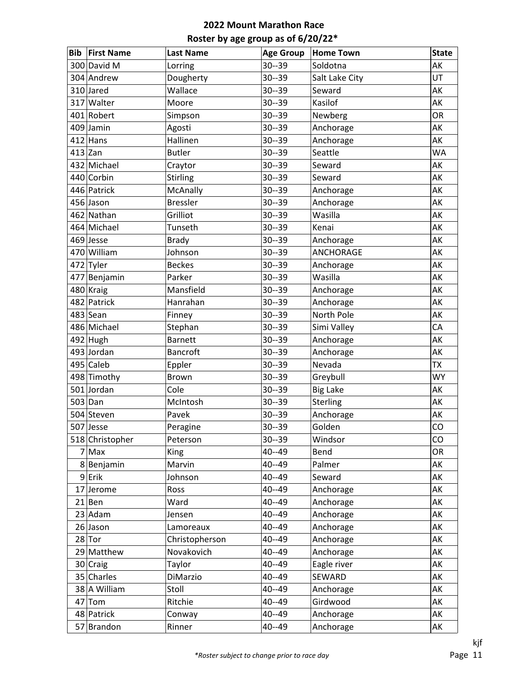| Bib       | <b>First Name</b> | <b>Last Name</b> | <b>Age Group</b> | <b>Home Town</b> | <b>State</b> |
|-----------|-------------------|------------------|------------------|------------------|--------------|
|           | 300 David M       | Lorring          | $30 - 39$        | Soldotna         | AK           |
|           | 304 Andrew        | Dougherty        | $30 - 39$        | Salt Lake City   | UT           |
|           | 310 Jared         | Wallace          | $30 - 39$        | Seward           | AK           |
|           | 317 Walter        | Moore            | $30 - 39$        | Kasilof          | AK           |
|           | 401 Robert        | Simpson          | $30 - 39$        | Newberg          | <b>OR</b>    |
|           | 409 Jamin         | Agosti           | $30 - 39$        | Anchorage        | AK           |
|           | $412$ Hans        | Hallinen         | $30 - 39$        | Anchorage        | AK           |
| $413$ Zan |                   | <b>Butler</b>    | $30 - 39$        | Seattle          | <b>WA</b>    |
|           | 432 Michael       | Craytor          | $30 - 39$        | Seward           | AK           |
|           | 440 Corbin        | Stirling         | $30 - 39$        | Seward           | AK           |
|           | 446 Patrick       | McAnally         | $30 - 39$        | Anchorage        | AK           |
|           | 456 Jason         | <b>Bressler</b>  | $30 - 39$        | Anchorage        | AK           |
|           | 462 Nathan        | Grilliot         | $30 - 39$        | Wasilla          | AK           |
|           | 464 Michael       | Tunseth          | $30 - 39$        | Kenai            | AK           |
|           | $469$ Jesse       | <b>Brady</b>     | $30 - 39$        | Anchorage        | AK           |
|           | 470 William       | Johnson          | $30 - 39$        | ANCHORAGE        | AK           |
|           | 472 Tyler         | <b>Beckes</b>    | $30 - 39$        | Anchorage        | AK           |
|           | 477 Benjamin      | Parker           | $30 - 39$        | Wasilla          | AK           |
|           | 480 Kraig         | Mansfield        | $30 - 39$        | Anchorage        | AK           |
|           | 482 Patrick       | Hanrahan         | $30 - 39$        | Anchorage        | AK           |
|           | $483$ Sean        | Finney           | $30 - 39$        | North Pole       | AK           |
|           | 486 Michael       | Stephan          | $30 - 39$        | Simi Valley      | CA           |
|           | 492 Hugh          | <b>Barnett</b>   | $30 - 39$        | Anchorage        | AK           |
|           | 493 Jordan        | Bancroft         | $30 - 39$        | Anchorage        | AK           |
|           | 495 Caleb         | Eppler           | $30 - 39$        | Nevada           | <b>ΤΧ</b>    |
|           | 498 Timothy       | Brown            | $30 - 39$        | Greybull         | <b>WY</b>    |
|           | 501 Jordan        | Cole             | $30 - 39$        | <b>Big Lake</b>  | AK           |
|           | $503$ Dan         | McIntosh         | $30 - 39$        | Sterling         | AK           |
|           | 504 Steven        | Pavek            | $30 - 39$        | Anchorage        | AK           |
|           | 507 Jesse         | Peragine         | $30 - 39$        | Golden           | CO           |
|           | 518 Christopher   | Peterson         | $30 - 39$        | Windsor          | CO           |
|           | $7$ Max           | King             | 40--49           | Bend             | <b>OR</b>    |
|           | 8Benjamin         | Marvin           | 40--49           | Palmer           | AK           |
|           | $9$ Erik          | Johnson          | 40--49           | Seward           | AK           |
|           | 17 Jerome         | Ross             | 40--49           | Anchorage        | AK           |
|           | $21$ Ben          | Ward             | 40--49           | Anchorage        | AK           |
|           | $23$ Adam         | Jensen           | 40--49           | Anchorage        | AK           |
|           | 26 Jason          | Lamoreaux        | 40--49           | Anchorage        | AK           |
|           | $28$ Tor          | Christopherson   | 40--49           | Anchorage        | AK           |
|           | 29 Matthew        | Novakovich       | 40--49           | Anchorage        | АK           |
|           | 30 Craig          | Taylor           | 40--49           | Eagle river      | AK           |
|           | 35 Charles        | DiMarzio         | 40--49           | SEWARD           | AK           |
|           | 38 A William      | Stoll            | 40--49           | Anchorage        | AK           |
|           | $47$ Tom          | Ritchie          | 40--49           | Girdwood         | AK           |
|           | 48 Patrick        | Conway           | 40--49           | Anchorage        | AK           |
|           | 57 Brandon        | Rinner           | 40--49           | Anchorage        | AK           |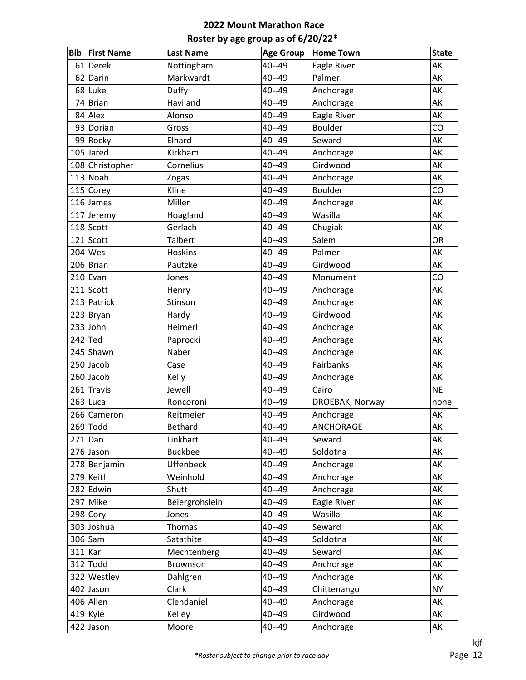| <b>Bib</b> | <b>First Name</b> | <b>Last Name</b> | <b>Age Group</b> | <b>Home Town</b> | <b>State</b> |
|------------|-------------------|------------------|------------------|------------------|--------------|
|            | 61 Derek          | Nottingham       | 40--49           | Eagle River      | AK           |
|            | 62 Darin          | Markwardt        | 40--49           | Palmer           | AK           |
|            | 68 Luke           | Duffy            | $40 - 49$        | Anchorage        | AK           |
|            | 74 Brian          | Haviland         | $40 - 49$        | Anchorage        | AK           |
|            | 84 Alex           | Alonso           | $40 - 49$        | Eagle River      | AK           |
|            | 93 Dorian         | Gross            | $40 - 49$        | <b>Boulder</b>   | CO           |
|            | 99 Rocky          | Elhard           | $40 - 49$        | Seward           | AK           |
|            | 105 Jared         | Kirkham          | $40 - 49$        | Anchorage        | AK           |
|            | 108 Christopher   | Cornelius        | $40 - 49$        | Girdwood         | AK           |
|            | $113$ Noah        | Zogas            | $40 - 49$        | Anchorage        | AK           |
|            | 115 Corey         | Kline            | 40--49           | <b>Boulder</b>   | CO           |
|            | $116$ James       | Miller           | $40 - 49$        | Anchorage        | AK           |
|            | 117 Jeremy        | Hoagland         | 40--49           | Wasilla          | AK           |
|            | 118 Scott         | Gerlach          | $40 - 49$        | Chugiak          | AK           |
|            | $121$ Scott       | Talbert          | $40 - 49$        | Salem            | OR           |
|            | $204$ Wes         | Hoskins          | $40 - 49$        | Palmer           | AK           |
|            | 206 Brian         | Pautzke          | $40 - 49$        | Girdwood         | AK           |
|            | $210$  Evan       | Jones            | $40 - 49$        | Monument         | CO           |
|            | $211$ Scott       | Henry            | $40 - 49$        | Anchorage        | AK           |
|            | 213 Patrick       | Stinson          | $40 - 49$        | Anchorage        | AK           |
|            | 223 Bryan         | Hardy            | 40--49           | Girdwood         | AK           |
|            | $233$ John        | Heimerl          | $40 - 49$        | Anchorage        | AK           |
|            | $242$ Ted         | Paprocki         | 40--49           | Anchorage        | AK           |
|            | 245 Shawn         | Naber            | $40 - 49$        | Anchorage        | AK           |
|            | $250$ Jacob       | Case             | $40 - 49$        | Fairbanks        | AK           |
|            | $260$ Jacob       | Kelly            | $40 - 49$        | Anchorage        | AK           |
|            | 261 Travis        | Jewell           | $40 - 49$        | Cairo            | <b>NE</b>    |
|            | $263$ Luca        | Roncoroni        | $40 - 49$        | DROEBAK, Norway  | none         |
|            | 266 Cameron       | Reitmeier        | $40 - 49$        | Anchorage        | AK           |
|            | $269$ Todd        | <b>Bethard</b>   | $40 - 49$        | ANCHORAGE        | AK           |
|            | $271$ Dan         | Linkhart         | $40 - 49$        | Seward           | AK           |
|            | 276 Jason         | <b>Buckbee</b>   | 40--49           | Soldotna         | AK           |
|            | 278 Benjamin      | Uffenbeck        | $40 - 49$        | Anchorage        | AK           |
|            | $279$ Keith       | Weinhold         | 40--49           | Anchorage        | AK           |
|            | 282 Edwin         | Shutt            | $40 - 49$        | Anchorage        | AK           |
|            | 297 Mike          | Beiergrohslein   | 40--49           | Eagle River      | AK           |
|            | 298 Cory          | Jones            | 40--49           | Wasilla          | AK           |
|            | 303 Joshua        | Thomas           | $40 - 49$        | Seward           | AK           |
|            | $306$ Sam         | Satathite        | 40--49           | Soldotna         | AK           |
|            | $311$ Karl        | Mechtenberg      | 40--49           | Seward           | AK           |
|            | $312$ Todd        | Brownson         | $40 - 49$        | Anchorage        | AK           |
|            | 322 Westley       | Dahlgren         | $40 - 49$        | Anchorage        | AK           |
|            | 402 Jason         | Clark            | 40--49           | Chittenango      | <b>NY</b>    |
|            | 406 Allen         | Clendaniel       | $40 - 49$        | Anchorage        | AK           |
|            | $419$ Kyle        | Kelley           | $40 - 49$        | Girdwood         | AK           |
|            | 422 Jason         | Moore            | 40--49           | Anchorage        | AK           |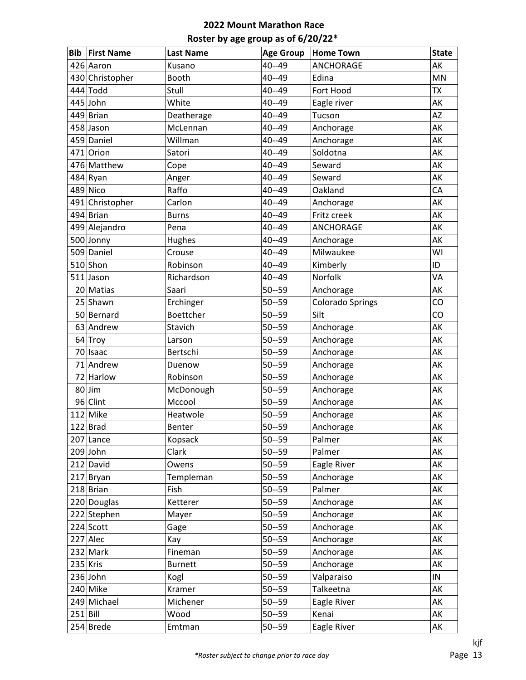| <b>Bib</b>  | <b>First Name</b> | <b>Last Name</b> | <b>Age Group</b> | <b>Home Town</b>        | <b>State</b> |
|-------------|-------------------|------------------|------------------|-------------------------|--------------|
|             | 426 Aaron         | Kusano           | $40 - 49$        | <b>ANCHORAGE</b>        | AK           |
|             | 430 Christopher   | Booth            | 40--49           | Edina                   | MN           |
|             | $444$ Todd        | Stull            | $40 - 49$        | Fort Hood               | <b>ΤΧ</b>    |
|             | 445 John          | White            | 40--49           | Eagle river             | AK           |
|             | 449 Brian         | Deatherage       | 40--49           | Tucson                  | AZ           |
|             | 458 Jason         | McLennan         | 40--49           | Anchorage               | AK           |
|             | 459 Daniel        | Willman          | $40 - 49$        | Anchorage               | AK           |
|             | 471 Orion         | Satori           | 40--49           | Soldotna                | AK           |
|             | 476 Matthew       | Cope             | 40--49           | Seward                  | AK           |
|             | 484 Ryan          | Anger            | 40--49           | Seward                  | AK           |
|             | 489 Nico          | Raffo            | 40--49           | Oakland                 | CA           |
|             | 491 Christopher   | Carlon           | 40--49           | Anchorage               | AK           |
|             | 494 Brian         | <b>Burns</b>     | 40--49           | Fritz creek             | AK           |
|             | 499 Alejandro     | Pena             | 40--49           | ANCHORAGE               | AK           |
|             | 500 Jonny         | Hughes           | 40--49           | Anchorage               | AK           |
|             | 509 Daniel        | Crouse           | 40--49           | Milwaukee               | WI           |
|             | $510$ Shon        | Robinson         | 40--49           | Kimberly                | ID           |
|             | 511 Jason         | Richardson       | 40--49           | Norfolk                 | VA           |
|             | 20 Matias         | Saari            | $50 - 59$        | Anchorage               | AK           |
|             | 25 Shawn          | Erchinger        | $50 - 59$        | <b>Colorado Springs</b> | CO           |
|             | 50 Bernard        | Boettcher        | $50 - 59$        | Silt                    | CO           |
|             | 63 Andrew         | Stavich          | $50 - 59$        | Anchorage               | AK           |
|             | 64 Troy           | Larson           | $50 - 59$        | Anchorage               | AK           |
|             | 70 Isaac          | Bertschi         | $50 - 59$        | Anchorage               | AK           |
|             | 71 Andrew         | Duenow           | $50 - 59$        | Anchorage               | AK           |
|             | 72 Harlow         | Robinson         | $50 - 59$        | Anchorage               | AK           |
|             | $80$ Jim          | McDonough        | $50 - 59$        | Anchorage               | AK           |
|             | 96 Clint          | Mccool           | $50 - 59$        | Anchorage               | AK           |
|             | $112$ Mike        | Heatwole         | $50 - 59$        | Anchorage               | AK           |
|             | $122$ Brad        | Benter           | $50 - 59$        | Anchorage               | AK           |
|             | 207 Lance         | Kopsack          | $50 - 59$        | Palmer                  | AK           |
|             | $209$ John        | Clark            | $50 - 59$        | Palmer                  | AK           |
|             | 212 David         | Owens            | $50 - 59$        | Eagle River             | AK           |
|             | $217$ Bryan       | Templeman        | $50 - 59$        | Anchorage               | AK           |
|             | $218$ Brian       | Fish             | $50 - 59$        | Palmer                  | АK           |
|             | 220 Douglas       | Ketterer         | $50 - 59$        | Anchorage               | AK           |
|             | 222 Stephen       | Mayer            | $50 - 59$        | Anchorage               | AK           |
|             | 224 Scott         | Gage             | $50 - 59$        | Anchorage               | AK           |
|             | 227 Alec          | Kay              | $50 - 59$        | Anchorage               | AK           |
|             | $232$ Mark        | Fineman          | $50 - 59$        | Anchorage               | AK           |
|             | $235$ Kris        | <b>Burnett</b>   | $50 - 59$        | Anchorage               | AK           |
|             | $236$ John        | Kogl             | $50 - 59$        | Valparaiso              | IN           |
|             | $240$ Mike        | Kramer           | $50 - 59$        | Talkeetna               | AK           |
|             | 249 Michael       | Michener         | $50 - 59$        | Eagle River             | AK           |
| $251$  Bill |                   | Wood             | $50 - 59$        | Kenai                   | AK           |
|             | $254$ Brede       | Emtman           | $50 - 59$        | Eagle River             | AK           |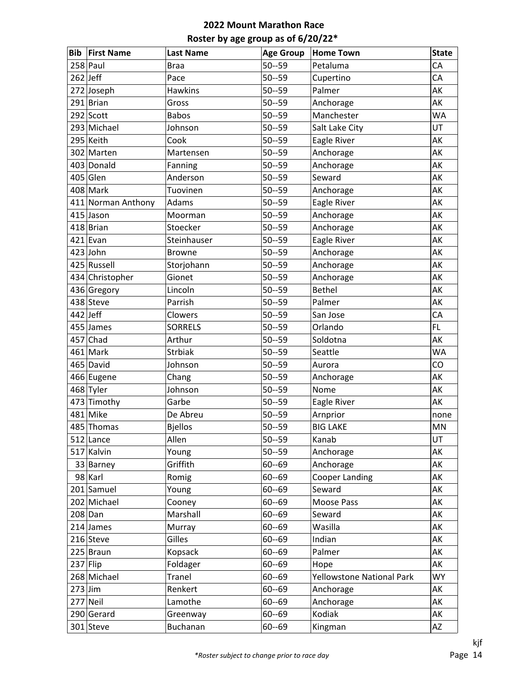| <b>Bib</b> | <b>First Name</b>  | <b>Last Name</b> | <b>Age Group</b> | <b>Home Town</b>                 | <b>State</b> |
|------------|--------------------|------------------|------------------|----------------------------------|--------------|
|            | $258$ Paul         | <b>Braa</b>      | $50 - 59$        | Petaluma                         | CA           |
| $262$ Jeff |                    | Pace             | $50 - 59$        | Cupertino                        | CA           |
|            | 272 Joseph         | <b>Hawkins</b>   | $50 - 59$        | Palmer                           | AK           |
|            | $291$ Brian        | Gross            | $50 - 59$        | Anchorage                        | AK           |
|            | $292$ Scott        | <b>Babos</b>     | $50 - 59$        | Manchester                       | <b>WA</b>    |
|            | 293 Michael        | Johnson          | $50 - 59$        | Salt Lake City                   | UT           |
|            | 295 Keith          | Cook             | $50 - 59$        | Eagle River                      | AK           |
|            | 302 Marten         | Martensen        | $50 - 59$        | Anchorage                        | AK           |
|            | 403 Donald         | Fanning          | $50 - 59$        | Anchorage                        | AK           |
|            | $405$ Glen         | Anderson         | $50 - 59$        | Seward                           | AK           |
|            | 408 Mark           | Tuovinen         | $50 - 59$        | Anchorage                        | AK           |
|            | 411 Norman Anthony | Adams            | $50 - 59$        | Eagle River                      | AK           |
|            | 415 Jason          | Moorman          | $50 - 59$        | Anchorage                        | AK           |
|            | $418$ Brian        | Stoecker         | $50 - 59$        | Anchorage                        | AK           |
|            | $421$  Evan        | Steinhauser      | $50 - 59$        | Eagle River                      | AK           |
|            | $423$ John         | <b>Browne</b>    | $50 - 59$        | Anchorage                        | AK           |
|            | 425 Russell        | Storjohann       | $50 - 59$        | Anchorage                        | AK           |
|            | 434 Christopher    | Gionet           | $50 - 59$        | Anchorage                        | AK           |
|            | 436 Gregory        | Lincoln          | $50 - 59$        | <b>Bethel</b>                    | AK           |
|            | 438 Steve          | Parrish          | $50 - 59$        | Palmer                           | AK           |
| $442$ Jeff |                    | Clowers          | $50 - 59$        | San Jose                         | CA           |
|            | 455 James          | <b>SORRELS</b>   | $50 - 59$        | Orlando                          | FL.          |
|            | $457$ Chad         | Arthur           | $50 - 59$        | Soldotna                         | AK           |
|            | $461$ Mark         | <b>Strbiak</b>   | $50 - 59$        | Seattle                          | <b>WA</b>    |
|            | 465 David          | Johnson          | $50 - 59$        | Aurora                           | CO           |
|            | 466 Eugene         | Chang            | $50 - 59$        | Anchorage                        | AK           |
|            | 468 Tyler          | Johnson          | $50 - 59$        | Nome                             | AK           |
|            | 473 Timothy        | Garbe            | $50 - 59$        | Eagle River                      | AK           |
|            | $481$ Mike         | De Abreu         | $50 - 59$        | Arnprior                         | none         |
|            | 485 Thomas         | <b>Bjellos</b>   | $50 - 59$        | <b>BIG LAKE</b>                  | MN           |
|            | 512 Lance          | Allen            | $50 - 59$        | Kanab                            | UT           |
|            | 517 Kalvin         | Young            | $50 - 59$        | Anchorage                        | AK           |
|            | 33 Barney          | Griffith         | $60 - 69$        | Anchorage                        | AK           |
|            | 98 Karl            | Romig            | $60 - 69$        | Cooper Landing                   | AK           |
|            | 201 Samuel         | Young            | $60 - 69$        | Seward                           | AK           |
|            | 202 Michael        | Cooney           | $60 - 69$        | Moose Pass                       | AK           |
|            | $208$ Dan          | Marshall         | $60 - 69$        | Seward                           | AK           |
|            | $214$ James        | Murray           | $60 - 69$        | Wasilla                          | AK           |
|            | 216 Steve          | Gilles           | $60 - 69$        | Indian                           | AK           |
|            | $225$ Braun        | Kopsack          | $60 - 69$        | Palmer                           | АK           |
| $237$ Flip |                    | Foldager         | $60 - 69$        | Hope                             | AK           |
|            | 268 Michael        | <b>Tranel</b>    | $60 - 69$        | <b>Yellowstone National Park</b> | <b>WY</b>    |
| $273$ Jim  |                    | Renkert          | $60 - 69$        | Anchorage                        | АK           |
|            | $277$ Neil         | Lamothe          | $60 - 69$        | Anchorage                        | AK           |
|            | 290 Gerard         | Greenway         | $60 - 69$        | Kodiak                           | AK           |
|            | $301$ Steve        | Buchanan         | $60 - 69$        | Kingman                          | AZ           |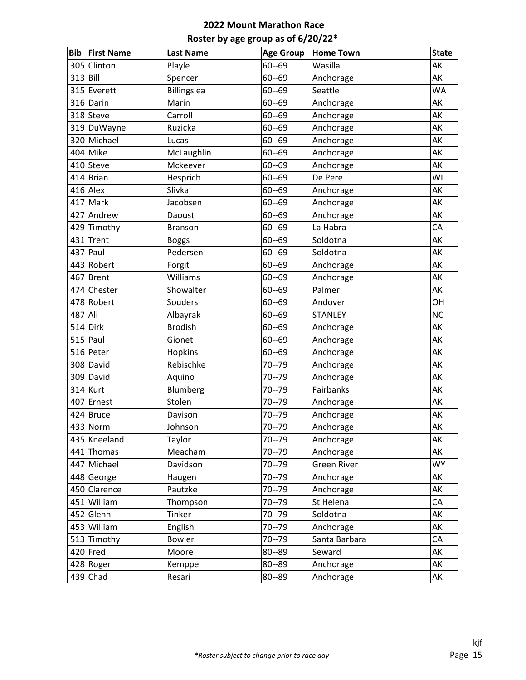| <b>Bib</b> | <b>First Name</b> | <b>Last Name</b> | <b>Age Group</b> | <b>Home Town</b>   | <b>State</b> |
|------------|-------------------|------------------|------------------|--------------------|--------------|
|            | 305 Clinton       | Playle           | $60 - 69$        | Wasilla            | AK           |
| $313$ Bill |                   | Spencer          | $60 - 69$        | Anchorage          | AK           |
|            | 315 Everett       | Billingslea      | $60 - 69$        | Seattle            | <b>WA</b>    |
|            | 316 Darin         | Marin            | $60 - 69$        | Anchorage          | AK           |
|            | 318 Steve         | Carroll          | $60 - 69$        | Anchorage          | AK           |
|            | 319 DuWayne       | Ruzicka          | $60 - 69$        | Anchorage          | AK           |
|            | 320 Michael       | Lucas            | $60 - 69$        | Anchorage          | AK           |
|            | $404$ Mike        | McLaughlin       | $60 - 69$        | Anchorage          | AK           |
|            | 410 Steve         | Mckeever         | $60 - 69$        | Anchorage          | AK           |
|            | $414$ Brian       | Hesprich         | $60 - 69$        | De Pere            | WI           |
|            | $416$ Alex        | Slivka           | $60 - 69$        | Anchorage          | AK           |
|            | $417$ Mark        | Jacobsen         | $60 - 69$        | Anchorage          | AK           |
|            | 427 Andrew        | Daoust           | $60 - 69$        | Anchorage          | AK           |
|            | 429 Timothy       | <b>Branson</b>   | $60 - 69$        | La Habra           | CA           |
|            | 431 Trent         | <b>Boggs</b>     | $60 - 69$        | Soldotna           | AK           |
|            | $437$ Paul        | Pedersen         | $60 - 69$        | Soldotna           | AK           |
|            | 443 Robert        | Forgit           | $60 - 69$        | Anchorage          | AK           |
|            | 467 Brent         | Williams         | $60 - 69$        | Anchorage          | AK           |
|            | 474 Chester       | Showalter        | $60 - 69$        | Palmer             | AK           |
|            | 478 Robert        | Souders          | $60 - 69$        | Andover            | OH           |
| 487 Ali    |                   | Albayrak         | $60 - 69$        | <b>STANLEY</b>     | <b>NC</b>    |
|            | $514$ Dirk        | <b>Brodish</b>   | $60 - 69$        | Anchorage          | AK           |
|            | $515$ Paul        | Gionet           | $60 - 69$        | Anchorage          | AK           |
|            | 516 Peter         | Hopkins          | $60 - 69$        | Anchorage          | AK           |
|            | 308 David         | Rebischke        | $70 - 79$        | Anchorage          | AK           |
|            | 309 David         | Aquino           | $70 - 79$        | Anchorage          | AK           |
|            | $314$ Kurt        | Blumberg         | $70 - 79$        | Fairbanks          | AK           |
|            | 407 Ernest        | Stolen           | $70 - 79$        | Anchorage          | AK           |
|            | 424 Bruce         | Davison          | $70 - 79$        | Anchorage          | AK           |
|            | $433$ Norm        | Johnson          | $70 - 79$        | Anchorage          | AK           |
|            | 435 Kneeland      | Taylor           | $70 - 79$        | Anchorage          | AK           |
|            | 441 Thomas        | Meacham          | $70 - 79$        | Anchorage          | AK           |
|            | 447 Michael       | Davidson         | $70 - 79$        | <b>Green River</b> | <b>WY</b>    |
|            | 448 George        | Haugen           | 70--79           | Anchorage          | AK           |
|            | 450 Clarence      | Pautzke          | $70 - 79$        | Anchorage          | AK           |
|            | 451 William       | Thompson         | $70 - 79$        | St Helena          | CA           |
|            | 452 Glenn         | Tinker           | 70--79           | Soldotna           | AK           |
|            | 453 William       | English          | 70--79           | Anchorage          | AK           |
|            | 513 Timothy       | Bowler           | $70 - 79$        | Santa Barbara      | CA           |
|            | $420$ Fred        | Moore            | 80--89           | Seward             | AK           |
|            | 428 Roger         | Kemppel          | 80--89           | Anchorage          | AK           |
|            | $439$ Chad        | Resari           | 80--89           | Anchorage          | АK           |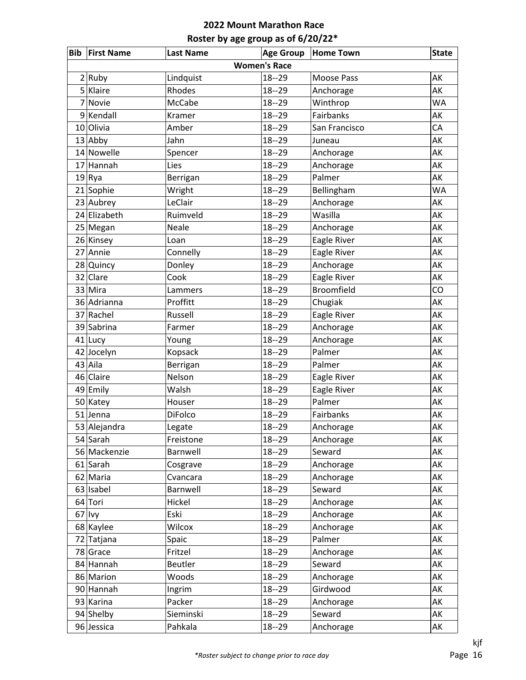|   | <b>Bib First Name</b> | <b>Last Name</b> | <b>Age Group</b> | <b>Home Town</b>  | <b>State</b> |  |  |  |
|---|-----------------------|------------------|------------------|-------------------|--------------|--|--|--|
|   | <b>Women's Race</b>   |                  |                  |                   |              |  |  |  |
|   | 2 Ruby                | Lindquist        | $18 - 29$        | Moose Pass        | AK           |  |  |  |
|   | 5 Klaire              | Rhodes           | $18 - 29$        | Anchorage         | AK           |  |  |  |
| 7 | Novie                 | McCabe           | $18 - 29$        | Winthrop          | <b>WA</b>    |  |  |  |
|   | $9$ Kendall           | Kramer           | $18 - 29$        | Fairbanks         | AK           |  |  |  |
|   | 10 Olivia             | Amber            | $18 - 29$        | San Francisco     | CA           |  |  |  |
|   | $13$ Abby             | Jahn             | $18 - 29$        | Juneau            | AK           |  |  |  |
|   | 14 Nowelle            | Spencer          | $18 - 29$        | Anchorage         | AK           |  |  |  |
|   | 17 Hannah             | Lies             | $18 - 29$        | Anchorage         | AK           |  |  |  |
|   | $19 R$ ya             | Berrigan         | $18 - 29$        | Palmer            | AK           |  |  |  |
|   | 21 Sophie             | Wright           | $18 - 29$        | Bellingham        | <b>WA</b>    |  |  |  |
|   | 23 Aubrey             | LeClair          | $18 - 29$        | Anchorage         | AK           |  |  |  |
|   | 24 Elizabeth          | Ruimveld         | $18 - 29$        | Wasilla           | AK           |  |  |  |
|   | 25 Megan              | Neale            | $18 - 29$        | Anchorage         | AK           |  |  |  |
|   | 26 Kinsey             | Loan             | $18 - 29$        | Eagle River       | AK           |  |  |  |
|   | 27 Annie              | Connelly         | $18 - 29$        | Eagle River       | AK           |  |  |  |
|   | 28 Quincy             | Donley           | $18 - 29$        | Anchorage         | AK           |  |  |  |
|   | 32 Clare              | Cook             | $18 - 29$        | Eagle River       | AK           |  |  |  |
|   | 33 Mira               | Lammers          | $18 - 29$        | <b>Broomfield</b> | CO           |  |  |  |
|   | 36 Adrianna           | Proffitt         | $18 - 29$        | Chugiak           | AK           |  |  |  |
|   | 37 Rachel             | Russell          | $18 - 29$        | Eagle River       | AK           |  |  |  |
|   | 39 Sabrina            | Farmer           | $18 - 29$        | Anchorage         | AK           |  |  |  |
|   | 41 Lucy               | Young            | $18 - 29$        | Anchorage         | AK           |  |  |  |
|   | 42 Jocelyn            | Kopsack          | $18 - 29$        | Palmer            | AK           |  |  |  |
|   | 43 Aila               | Berrigan         | $18 - 29$        | Palmer            | AK           |  |  |  |
|   | 46 Claire             | Nelson           | $18 - 29$        | Eagle River       | AK           |  |  |  |
|   | 49 Emily              | Walsh            | $18 - 29$        | Eagle River       | AK           |  |  |  |
|   | 50 Katey              | Houser           | $18 - 29$        | Palmer            | AK           |  |  |  |
|   | $51$ Jenna            | DiFolco          | $18 - 29$        | Fairbanks         | AK           |  |  |  |
|   | 53 Alejandra          | Legate           | $18 - 29$        | Anchorage         | AK           |  |  |  |
|   | 54 Sarah              | Freistone        | $18 - 29$        | Anchorage         | AK           |  |  |  |
|   | 56 Mackenzie          | Barnwell         | $18 - 29$        | Seward            | AK           |  |  |  |
|   | $61$ Sarah            | Cosgrave         | $18 - 29$        | Anchorage         | AK           |  |  |  |
|   | 62 Maria              | Cvancara         | $18 - 29$        | Anchorage         | AK           |  |  |  |
|   | 63 Isabel             | Barnwell         | $18 - 29$        | Seward            | AK           |  |  |  |
|   | 64 Tori               | Hickel           | $18 - 29$        | Anchorage         | AK           |  |  |  |
|   | $67$ lvy              | Eski             | $18 - 29$        | Anchorage         | AK           |  |  |  |
|   | 68 Kaylee             | Wilcox           | $18 - 29$        | Anchorage         | AK           |  |  |  |
|   | 72 Tatjana            | Spaic            | $18 - 29$        | Palmer            | AK           |  |  |  |
|   | 78 Grace              | Fritzel          | $18 - 29$        | Anchorage         | AK           |  |  |  |
|   | 84 Hannah             | <b>Beutler</b>   | $18 - 29$        | Seward            | AK           |  |  |  |
|   | 86 Marion             | Woods            | $18 - 29$        | Anchorage         | AK           |  |  |  |
|   | 90 Hannah             | Ingrim           | $18 - 29$        | Girdwood          | AK           |  |  |  |
|   | 93 Karina             | Packer           | $18 - 29$        | Anchorage         | AK           |  |  |  |
|   | 94 Shelby             | Sieminski        | $18 - 29$        | Seward            | AK           |  |  |  |
|   | 96 Jessica            | Pahkala          | $18 - 29$        | Anchorage         | AK           |  |  |  |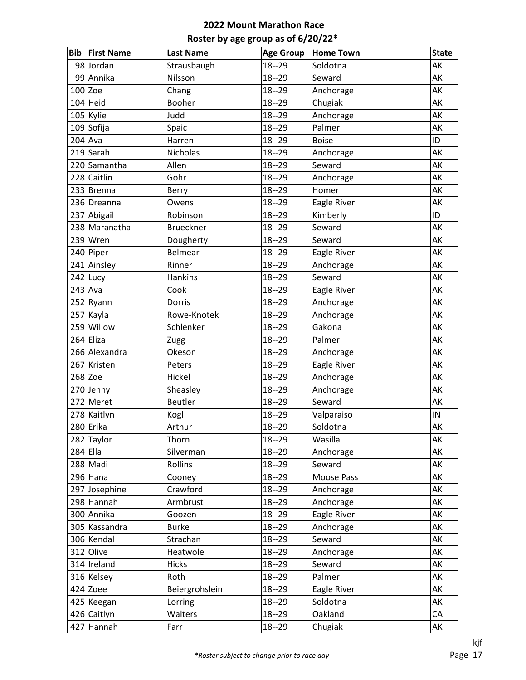| Bib        | <b>First Name</b> | <b>Last Name</b> | <b>Age Group</b> | <b>Home Town</b> | <b>State</b> |
|------------|-------------------|------------------|------------------|------------------|--------------|
|            | 98 Jordan         | Strausbaugh      | $18 - 29$        | Soldotna         | AK           |
|            | 99 Annika         | Nilsson          | $18 - 29$        | Seward           | AK           |
|            | $100$ Zoe         | Chang            | $18 - 29$        | Anchorage        | AK           |
|            | 104 Heidi         | Booher           | $18 - 29$        | Chugiak          | AK           |
|            | 105 Kylie         | Judd             | $18 - 29$        | Anchorage        | AK           |
|            | 109 Sofija        | Spaic            | $18 - 29$        | Palmer           | AK           |
| $204$ Ava  |                   | Harren           | $18 - 29$        | <b>Boise</b>     | ID           |
|            | 219 Sarah         | Nicholas         | $18 - 29$        | Anchorage        | AK           |
|            | 220 Samantha      | Allen            | $18 - 29$        | Seward           | AK           |
|            | 228 Caitlin       | Gohr             | $18 - 29$        | Anchorage        | AK           |
|            | 233 Brenna        | Berry            | $18 - 29$        | Homer            | AK           |
|            | 236 Dreanna       | Owens            | $18 - 29$        | Eagle River      | AK           |
|            | 237 Abigail       | Robinson         | $18 - 29$        | Kimberly         | ID           |
|            | 238 Maranatha     | <b>Brueckner</b> | $18 - 29$        | Seward           | AK           |
|            | $239$ Wren        | Dougherty        | $18 - 29$        | Seward           | AK           |
|            | 240 Piper         | Belmear          | $18 - 29$        | Eagle River      | AK           |
|            | 241 Ainsley       | Rinner           | $18 - 29$        | Anchorage        | AK           |
|            | 242 Lucy          | Hankins          | $18 - 29$        | Seward           | AK           |
| $243$ Ava  |                   | Cook             | $18 - 29$        | Eagle River      | AK           |
|            | 252 Ryann         | Dorris           | $18 - 29$        | Anchorage        | AK           |
|            | 257 Kayla         | Rowe-Knotek      | $18 - 29$        | Anchorage        | AK           |
|            | 259 Willow        | Schlenker        | $18 - 29$        | Gakona           | AK           |
|            | $264$ Eliza       | Zugg             | $18 - 29$        | Palmer           | AK           |
|            | 266 Alexandra     | Okeson           | $18 - 29$        | Anchorage        | AK           |
|            | 267 Kristen       | Peters           | $18 - 29$        | Eagle River      | AK           |
| $268$ Zoe  |                   | Hickel           | $18 - 29$        | Anchorage        | AK           |
|            | 270 Jenny         | Sheasley         | $18 - 29$        | Anchorage        | AK           |
|            | 272 Meret         | <b>Beutler</b>   | $18 - 29$        | Seward           | AK           |
|            | 278 Kaitlyn       | Kogl             | $18 - 29$        | Valparaiso       | IN           |
|            | 280 Erika         | Arthur           | $18 - 29$        | Soldotna         | AK           |
|            | 282 Taylor        | Thorn            | $18 - 29$        | Wasilla          | AK           |
| $284$ Ella |                   | Silverman        | $18 - 29$        | Anchorage        | AK           |
|            | 288 Madi          | Rollins          | $18 - 29$        | Seward           | AK           |
|            | $296$ Hana        | Cooney           | $18 - 29$        | Moose Pass       | AK           |
|            | 297 Josephine     | Crawford         | $18 - 29$        | Anchorage        | AK           |
|            | 298 Hannah        | Armbrust         | $18 - 29$        | Anchorage        | AK           |
|            | 300 Annika        | Goozen           | $18 - 29$        | Eagle River      | AK           |
|            | 305 Kassandra     | <b>Burke</b>     | $18 - 29$        | Anchorage        | AK           |
|            | 306 Kendal        | Strachan         | $18 - 29$        | Seward           | AK           |
|            | 312 Olive         | Heatwole         | $18 - 29$        | Anchorage        | AK           |
|            | 314 Ireland       | <b>Hicks</b>     | $18 - 29$        | Seward           | AK           |
|            | 316 Kelsey        | Roth             | $18 - 29$        | Palmer           | AK           |
|            | $424$ Zoee        | Beiergrohslein   | $18 - 29$        | Eagle River      | AK           |
|            | 425 Keegan        | Lorring          | $18 - 29$        | Soldotna         | AK           |
|            | 426 Caitlyn       | Walters          | $18 - 29$        | Oakland          | CA           |
|            | 427 Hannah        | Farr             | $18 - 29$        | Chugiak          | AK           |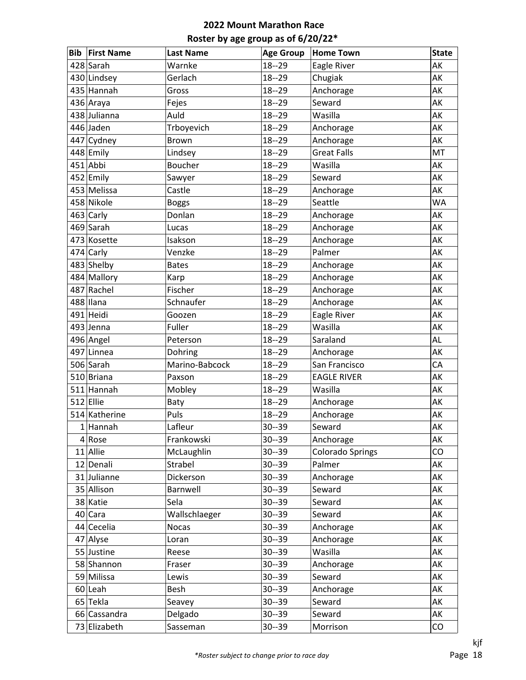| Bib | <b>First Name</b> | <b>Last Name</b> | <b>Age Group</b> | <b>Home Town</b>        | <b>State</b> |
|-----|-------------------|------------------|------------------|-------------------------|--------------|
|     | 428 Sarah         | Warnke           | $18 - 29$        | Eagle River             | AK           |
|     | 430 Lindsey       | Gerlach          | $18 - 29$        | Chugiak                 | AK           |
|     | 435 Hannah        | Gross            | $18 - 29$        | Anchorage               | AK           |
|     | 436 Araya         | Fejes            | $18 - 29$        | Seward                  | AK           |
|     | 438 Julianna      | Auld             | $18 - 29$        | Wasilla                 | AK           |
|     | 446 Jaden         | Trboyevich       | $18 - 29$        | Anchorage               | AK           |
|     | 447 Cydney        | <b>Brown</b>     | $18 - 29$        | Anchorage               | AK           |
|     | 448 Emily         | Lindsey          | $18 - 29$        | <b>Great Falls</b>      | MT           |
|     | $451$ Abbi        | <b>Boucher</b>   | $18 - 29$        | Wasilla                 | AK           |
|     | $452$ Emily       | Sawyer           | $18 - 29$        | Seward                  | AK           |
|     | 453 Melissa       | Castle           | $18 - 29$        | Anchorage               | AK           |
|     | 458 Nikole        | <b>Boggs</b>     | $18 - 29$        | Seattle                 | WA           |
|     | 463 Carly         | Donlan           | $18 - 29$        | Anchorage               | AK           |
|     | 469 Sarah         | Lucas            | $18 - 29$        | Anchorage               | AK           |
|     | 473 Kosette       | Isakson          | $18 - 29$        | Anchorage               | AK           |
|     | 474 Carly         | Venzke           | $18 - 29$        | Palmer                  | AK           |
|     | 483 Shelby        | <b>Bates</b>     | $18 - 29$        | Anchorage               | AK           |
|     | 484 Mallory       | Karp             | $18 - 29$        | Anchorage               | AK           |
|     | 487 Rachel        | Fischer          | $18 - 29$        | Anchorage               | AK           |
|     | 488 Ilana         | Schnaufer        | $18 - 29$        | Anchorage               | AK           |
|     | 491 Heidi         | Goozen           | $18 - 29$        | Eagle River             | AK           |
|     | 493 Jenna         | Fuller           | $18 - 29$        | Wasilla                 | AK           |
|     | 496 Angel         | Peterson         | $18 - 29$        | Saraland                | <b>AL</b>    |
|     | 497 Linnea        | Dohring          | $18 - 29$        | Anchorage               | AK           |
|     | 506 Sarah         | Marino-Babcock   | $18 - 29$        | San Francisco           | CA           |
|     | 510 Briana        | Paxson           | $18 - 29$        | <b>EAGLE RIVER</b>      | AK           |
|     | 511 Hannah        | Mobley           | $18 - 29$        | Wasilla                 | AK           |
|     | $512$ Ellie       | Baty             | $18 - 29$        | Anchorage               | AK           |
|     | 514 Katherine     | Puls             | $18 - 29$        | Anchorage               | AK           |
|     | $1$ Hannah        | Lafleur          | $30 - 39$        | Seward                  | AK           |
| 4   | Rose              | Frankowski       | $30 - 39$        | Anchorage               | AK           |
|     | 11 Allie          | McLaughlin       | $30 - 39$        | <b>Colorado Springs</b> | CO           |
|     | 12 Denali         | Strabel          | $30 - 39$        | Palmer                  | AK           |
|     | 31 Julianne       | Dickerson        | $30 - 39$        | Anchorage               | AK           |
|     | 35 Allison        | Barnwell         | $30 - 39$        | Seward                  | AK           |
|     | 38 Katie          | Sela             | $30 - 39$        | Seward                  | AK           |
|     | 40 Cara           | Wallschlaeger    | $30 - 39$        | Seward                  | AK           |
|     | 44 Cecelia        | <b>Nocas</b>     | $30 - 39$        | Anchorage               | AK           |
|     | 47 Alyse          | Loran            | $30 - 39$        | Anchorage               | AK           |
|     | 55 Justine        | Reese            | $30 - 39$        | Wasilla                 | AK           |
|     | 58 Shannon        | Fraser           | $30 - 39$        | Anchorage               | AK           |
|     | 59 Milissa        | Lewis            | $30 - 39$        | Seward                  | AK           |
|     | $60$  Leah        | Besh             | $30 - 39$        | Anchorage               | AK           |
|     | 65 Tekla          | Seavey           | $30 - 39$        | Seward                  | AK           |
|     | 66 Cassandra      | Delgado          | $30 - 39$        | Seward                  | AK           |
|     | 73 Elizabeth      | Sasseman         | $30 - 39$        | Morrison                | CO           |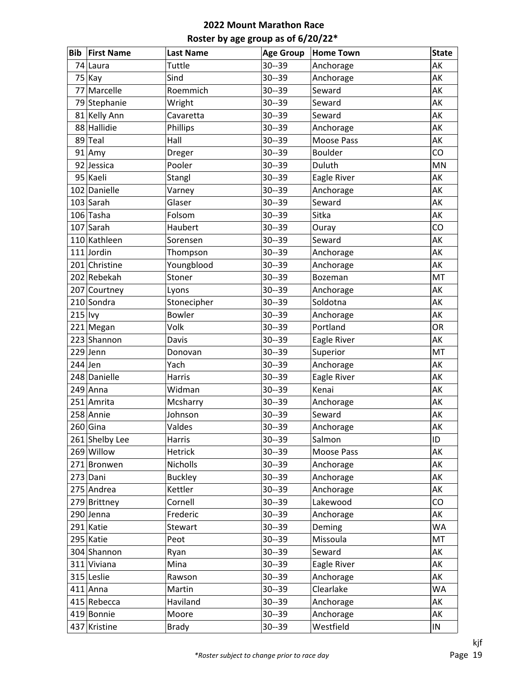| <b>Bib</b> | <b>First Name</b> | <b>Last Name</b> | <b>Age Group</b> | <b>Home Town</b> | <b>State</b> |
|------------|-------------------|------------------|------------------|------------------|--------------|
|            | 74 Laura          | Tuttle           | $30 - 39$        | Anchorage        | AK           |
|            | $75$ Kay          | Sind             | $30 - 39$        | Anchorage        | AK           |
|            | 77 Marcelle       | Roemmich         | $30 - 39$        | Seward           | AK           |
|            | 79 Stephanie      | Wright           | $30 - 39$        | Seward           | AK           |
|            | 81 Kelly Ann      | Cavaretta        | $30 - 39$        | Seward           | AK           |
|            | 88 Hallidie       | Phillips         | $30 - 39$        | Anchorage        | AK           |
|            | 89 Teal           | Hall             | $30 - 39$        | Moose Pass       | AK           |
|            | $91$ Amy          | Dreger           | $30 - 39$        | <b>Boulder</b>   | CO           |
|            | 92 Jessica        | Pooler           | $30 - 39$        | Duluth           | <b>MN</b>    |
|            | 95 Kaeli          | Stangl           | $30 - 39$        | Eagle River      | AK           |
|            | 102 Danielle      | Varney           | $30 - 39$        | Anchorage        | AK           |
|            | 103 Sarah         | Glaser           | $30 - 39$        | Seward           | AK           |
|            | 106 Tasha         | Folsom           | $30 - 39$        | Sitka            | AK           |
|            | 107 Sarah         | Haubert          | $30 - 39$        | Ouray            | CO           |
|            | 110 Kathleen      | Sorensen         | $30 - 39$        | Seward           | AK           |
|            | 111 Jordin        | Thompson         | $30 - 39$        | Anchorage        | AK           |
|            | 201 Christine     | Youngblood       | $30 - 39$        | Anchorage        | AK           |
|            | 202 Rebekah       | Stoner           | $30 - 39$        | Bozeman          | <b>MT</b>    |
|            | 207 Courtney      | Lyons            | $30 - 39$        | Anchorage        | AK           |
|            | 210 Sondra        | Stonecipher      | $30 - 39$        | Soldotna         | AK           |
| $215$  lvy |                   | <b>Bowler</b>    | $30 - 39$        | Anchorage        | AK           |
|            | 221 Megan         | Volk             | $30 - 39$        | Portland         | <b>OR</b>    |
|            | 223 Shannon       | Davis            | $30 - 39$        | Eagle River      | AK           |
|            | $229$ Jenn        | Donovan          | $30 - 39$        | Superior         | <b>MT</b>    |
| $244$ Jen  |                   | Yach             | $30 - 39$        | Anchorage        | AK           |
|            | 248 Danielle      | Harris           | $30 - 39$        | Eagle River      | AK           |
|            | $249$ Anna        | Widman           | $30 - 39$        | Kenai            | AK           |
|            | 251 Amrita        | Mcsharry         | $30 - 39$        | Anchorage        | AK           |
|            | 258 Annie         | Johnson          | $30 - 39$        | Seward           | AK           |
|            | $260$ Gina        | Valdes           | $30 - 39$        | Anchorage        | AK           |
|            | 261 Shelby Lee    | Harris           | $30 - 39$        | Salmon           | ID           |
|            | 269 Willow        | Hetrick          | $30 - 39$        | Moose Pass       | AK           |
|            | 271 Bronwen       | Nicholls         | $30 - 39$        | Anchorage        | AK           |
|            | 273 Dani          | <b>Buckley</b>   | $30 - 39$        | Anchorage        | AK           |
|            | 275 Andrea        | Kettler          | $30 - 39$        | Anchorage        | AK           |
|            | 279 Brittney      | Cornell          | $30 - 39$        | Lakewood         | CO           |
|            | 290 Jenna         | Frederic         | $30 - 39$        | Anchorage        | АK           |
|            | 291 Katie         | Stewart          | $30 - 39$        | Deming           | WA           |
|            | 295 Katie         | Peot             | $30 - 39$        | Missoula         | MT           |
|            | 304 Shannon       | Ryan             | $30 - 39$        | Seward           | AK           |
|            | 311 Viviana       | Mina             | $30 - 39$        | Eagle River      | AK           |
|            | 315 Leslie        | Rawson           | $30 - 39$        | Anchorage        | AK           |
|            | $411$ Anna        | Martin           | $30 - 39$        | Clearlake        | WA           |
|            | 415 Rebecca       | Haviland         | $30 - 39$        | Anchorage        | AK           |
|            | 419 Bonnie        | Moore            | $30 - 39$        | Anchorage        | AK           |
|            | 437 Kristine      | Brady            | $30 - 39$        | Westfield        | ${\sf IN}$   |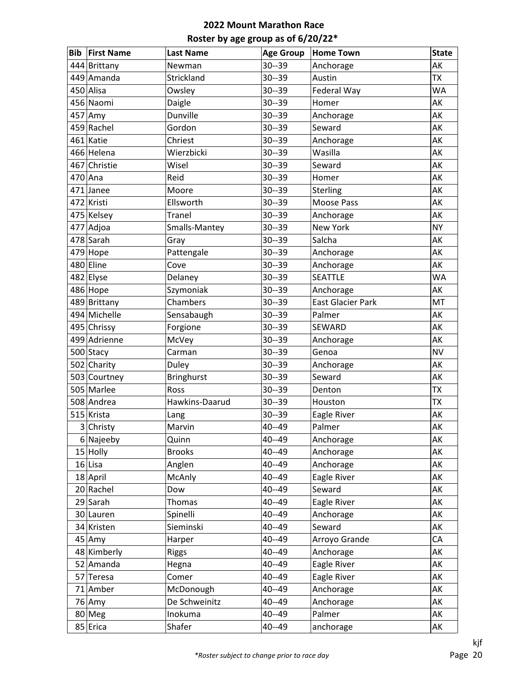| <b>Bib</b> | <b>First Name</b> | <b>Last Name</b>  | <b>Age Group</b> | <b>Home Town</b>         | <b>State</b> |
|------------|-------------------|-------------------|------------------|--------------------------|--------------|
|            | 444 Brittany      | Newman            | $30 - 39$        | Anchorage                | AK           |
|            | 449 Amanda        | Strickland        | $30 - 39$        | Austin                   | <b>TX</b>    |
|            | 450 Alisa         | Owsley            | $30 - 39$        | Federal Way              | <b>WA</b>    |
|            | 456 Naomi         | Daigle            | $30 - 39$        | Homer                    | AK           |
|            | 457 Amy           | Dunville          | $30 - 39$        | Anchorage                | AK           |
|            | 459 Rachel        | Gordon            | $30 - 39$        | Seward                   | AK           |
|            | 461 Katie         | Chriest           | $30 - 39$        | Anchorage                | AK           |
|            | 466 Helena        | Wierzbicki        | $30 - 39$        | Wasilla                  | AK           |
|            | 467 Christie      | Wisel             | $30 - 39$        | Seward                   | AK           |
|            | $470$ Ana         | Reid              | $30 - 39$        | Homer                    | AK           |
|            | 471 Janee         | Moore             | $30 - 39$        | Sterling                 | AK           |
|            | 472 Kristi        | Ellsworth         | $30 - 39$        | Moose Pass               | AK           |
|            | 475 Kelsey        | <b>Tranel</b>     | $30 - 39$        | Anchorage                | AK           |
|            | 477 Adjoa         | Smalls-Mantey     | $30 - 39$        | New York                 | <b>NY</b>    |
|            | 478 Sarah         | Gray              | $30 - 39$        | Salcha                   | AK           |
|            | 479 Hope          | Pattengale        | $30 - 39$        | Anchorage                | AK           |
|            | 480 Eline         | Cove              | $30 - 39$        | Anchorage                | AK           |
|            | 482 Elyse         | Delaney           | $30 - 39$        | <b>SEATTLE</b>           | <b>WA</b>    |
|            | 486 Hope          | Szymoniak         | $30 - 39$        | Anchorage                | AK           |
|            | 489 Brittany      | Chambers          | $30 - 39$        | <b>East Glacier Park</b> | MT           |
|            | 494 Michelle      | Sensabaugh        | $30 - 39$        | Palmer                   | AK           |
|            | 495 Chrissy       | Forgione          | $30 - 39$        | SEWARD                   | AK           |
|            | 499 Adrienne      | McVey             | $30 - 39$        | Anchorage                | AK           |
|            | 500 Stacy         | Carman            | $30 - 39$        | Genoa                    | <b>NV</b>    |
|            | 502 Charity       | Duley             | $30 - 39$        | Anchorage                | AK           |
|            | 503 Courtney      | <b>Bringhurst</b> | $30 - 39$        | Seward                   | AK           |
|            | 505 Marlee        | Ross              | $30 - 39$        | Denton                   | <b>ΤΧ</b>    |
|            | 508 Andrea        | Hawkins-Daarud    | $30 - 39$        | Houston                  | <b>ΤΧ</b>    |
|            | 515 Krista        | Lang              | $30 - 39$        | Eagle River              | AK           |
|            | 3 Christy         | Marvin            | 40--49           | Palmer                   | AK           |
|            | 6 Najeeby         | Quinn             | 40--49           | Anchorage                | AK           |
|            | 15 Holly          | <b>Brooks</b>     | 40--49           | Anchorage                | AK           |
|            | $16$ Lisa         | Anglen            | 40--49           | Anchorage                | AK           |
|            | 18 April          | McAnly            | 40--49           | Eagle River              | AK           |
|            | 20 Rachel         | Dow               | 40--49           | Seward                   | AK           |
|            | 29 Sarah          | Thomas            | 40--49           | Eagle River              | AK           |
|            | 30 Lauren         | Spinelli          | $40 - 49$        | Anchorage                | AK           |
|            | 34 Kristen        | Sieminski         | 40--49           | Seward                   | AK           |
|            | $45$ Amy          | Harper            | 40--49           | Arroyo Grande            | CA           |
|            | 48 Kimberly       | <b>Riggs</b>      | 40--49           | Anchorage                | АK           |
|            | 52 Amanda         | Hegna             | 40--49           | Eagle River              | AK           |
|            | 57 Teresa         | Comer             | 40--49           | Eagle River              | AK           |
|            | 71 Amber          | McDonough         | 40--49           | Anchorage                | AK           |
|            | 76 Amy            | De Schweinitz     | 40--49           | Anchorage                | AK           |
|            | 80 Meg            | Inokuma           | 40--49           | Palmer                   | AK           |
|            | 85 Erica          | Shafer            | 40--49           | anchorage                | AK           |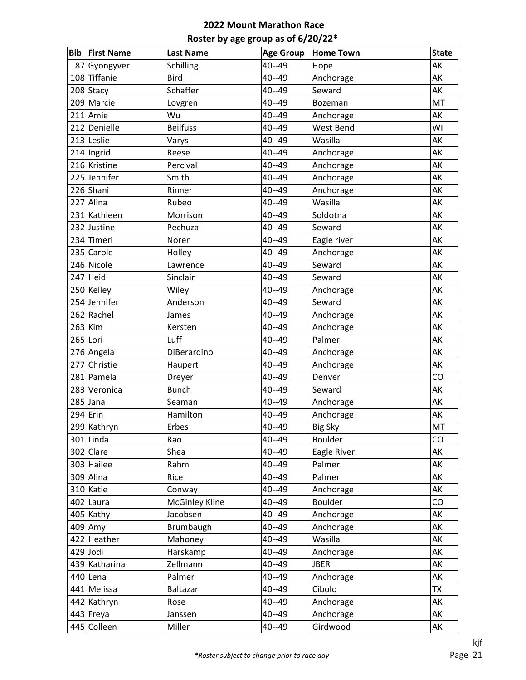| Bib | <b>First Name</b> | <b>Last Name</b>      | <b>Age Group</b> | <b>Home Town</b> | <b>State</b> |
|-----|-------------------|-----------------------|------------------|------------------|--------------|
|     | 87 Gyongyver      | Schilling             | $40 - 49$        | Hope             | AK           |
|     | 108 Tiffanie      | <b>Bird</b>           | $40 - 49$        | Anchorage        | AK           |
|     | 208 Stacy         | Schaffer              | $40 - 49$        | Seward           | AK           |
|     | 209 Marcie        | Lovgren               | $40 - 49$        | Bozeman          | MT           |
|     | $211$ Amie        | Wu                    | $40 - 49$        | Anchorage        | AK           |
|     | 212 Denielle      | <b>Beilfuss</b>       | $40 - 49$        | West Bend        | WI           |
|     | 213 Leslie        | Varys                 | $40 - 49$        | Wasilla          | AK           |
|     | $214$  Ingrid     | Reese                 | 40--49           | Anchorage        | AK           |
|     | 216 Kristine      | Percival              | 40--49           | Anchorage        | AK           |
|     | 225 Jennifer      | Smith                 | $40 - 49$        | Anchorage        | AK           |
|     | 226 Shani         | Rinner                | $40 - 49$        | Anchorage        | AK           |
|     | 227 Alina         | Rubeo                 | $40 - 49$        | Wasilla          | AK           |
|     | 231 Kathleen      | Morrison              | $40 - 49$        | Soldotna         | AK           |
|     | 232 Justine       | Pechuzal              | $40 - 49$        | Seward           | AK           |
|     | 234 Timeri        | Noren                 | 40--49           | Eagle river      | AK           |
|     | 235 Carole        | Holley                | 40--49           | Anchorage        | AK           |
|     | 246 Nicole        | Lawrence              | $40 - 49$        | Seward           | AK           |
|     | 247 Heidi         | Sinclair              | $40 - 49$        | Seward           | AK           |
|     | 250 Kelley        | Wiley                 | 40--49           | Anchorage        | AK           |
|     | 254 Jennifer      | Anderson              | 40--49           | Seward           | AK           |
|     | 262 Rachel        | James                 | 40--49           | Anchorage        | AK           |
|     | $263$ Kim         | Kersten               | 40--49           | Anchorage        | AK           |
|     | 265 Lori          | Luff                  | 40--49           | Palmer           | AK           |
|     | 276 Angela        | DiBerardino           | 40--49           | Anchorage        | AK           |
|     | 277 Christie      | Haupert               | 40--49           | Anchorage        | AK           |
|     | 281 Pamela        | Dreyer                | $40 - 49$        | Denver           | CO           |
|     | 283 Veronica      | <b>Bunch</b>          | $40 - 49$        | Seward           | AK           |
|     | $285$ Jana        | Seaman                | 40--49           | Anchorage        | AK           |
|     | $294$ Erin        | Hamilton              | 40--49           | Anchorage        | AK           |
|     | 299 Kathryn       | Erbes                 | 40--49           | <b>Big Sky</b>   | MT           |
|     | $301$ Linda       | Rao                   | 40--49           | Boulder          | CO           |
|     | $302$ Clare       | Shea                  | 40--49           | Eagle River      | AK           |
|     | 303 Hailee        | Rahm                  | 40--49           | Palmer           | AK           |
|     | 309 Alina         | Rice                  | 40--49           | Palmer           | AK           |
|     | 310 Katie         | Conway                | 40--49           | Anchorage        | AK           |
|     | 402 Laura         | <b>McGinley Kline</b> | 40--49           | Boulder          | CO           |
|     | $405$ Kathy       | Jacobsen              | 40--49           | Anchorage        | AK           |
|     | $409$ Amy         | Brumbaugh             | 40--49           | Anchorage        | AK           |
|     | 422 Heather       | Mahoney               | 40--49           | Wasilla          | AK           |
|     | $429$ Jodi        | Harskamp              | 40--49           | Anchorage        | AK           |
|     | 439 Katharina     | Zellmann              | 40--49           | <b>JBER</b>      | AK           |
|     | $440$  Lena       | Palmer                | 40--49           | Anchorage        | AK           |
|     | 441 Melissa       | Baltazar              | 40--49           | Cibolo           | <b>TX</b>    |
|     | 442 Kathryn       | Rose                  | 40--49           | Anchorage        | AK           |
|     | 443 Freya         | Janssen               | 40--49           | Anchorage        | AK           |
|     | 445 Colleen       | Miller                | 40--49           | Girdwood         | AK           |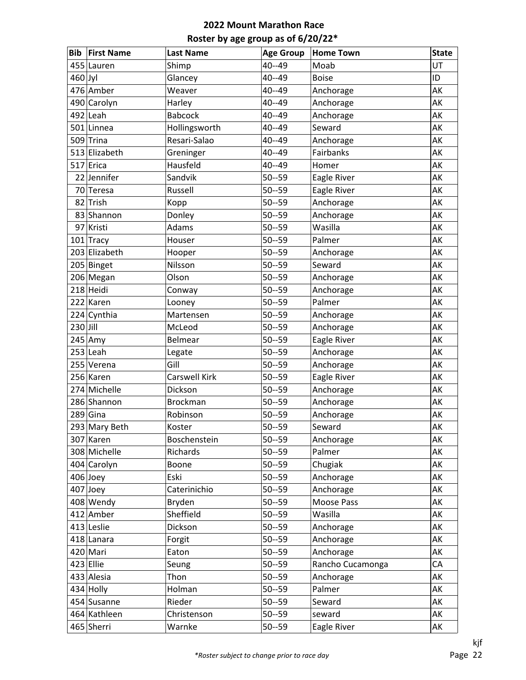| <b>Bib</b> | <b>First Name</b> | <b>Last Name</b>     | <b>Age Group</b> | <b>Home Town</b> | <b>State</b> |
|------------|-------------------|----------------------|------------------|------------------|--------------|
|            | 455 Lauren        | Shimp                | 40--49           | Moab             | UT           |
| $460$ Jyl  |                   | Glancey              | 40--49           | <b>Boise</b>     | ID           |
|            | 476 Amber         | Weaver               | $40 - 49$        | Anchorage        | AK           |
|            | 490 Carolyn       | Harley               | $40 - 49$        | Anchorage        | AK           |
|            | $492$  Leah       | <b>Babcock</b>       | 40--49           | Anchorage        | AK           |
|            | 501 Linnea        | Hollingsworth        | 40--49           | Seward           | AK           |
|            | 509 Trina         | Resari-Salao         | $40 - 49$        | Anchorage        | AK           |
|            | 513 Elizabeth     | Greninger            | $40 - 49$        | Fairbanks        | AK           |
|            | 517 Erica         | Hausfeld             | $40 - 49$        | Homer            | AK           |
|            | 22 Jennifer       | Sandvik              | $50 - 59$        | Eagle River      | AK           |
|            | 70 Teresa         | Russell              | $50 - 59$        | Eagle River      | AK           |
| 82         | Trish             | Kopp                 | $50 - 59$        | Anchorage        | AK           |
|            | 83 Shannon        | Donley               | $50 - 59$        | Anchorage        | AK           |
|            | 97 Kristi         | <b>Adams</b>         | $50 - 59$        | Wasilla          | AK           |
|            | 101 Tracy         | Houser               | $50 - 59$        | Palmer           | AK           |
|            | 203 Elizabeth     | Hooper               | $50 - 59$        | Anchorage        | AK           |
|            | 205 Binget        | Nilsson              | $50 - 59$        | Seward           | AK           |
|            | 206 Megan         | Olson                | $50 - 59$        | Anchorage        | AK           |
|            | $218$ Heidi       | Conway               | $50 - 59$        | Anchorage        | AK           |
|            | 222 Karen         | Looney               | $50 - 59$        | Palmer           | AK           |
|            | 224 Cynthia       | Martensen            | $50 - 59$        | Anchorage        | AK           |
| $230$ Jill |                   | McLeod               | $50 - 59$        | Anchorage        | AK           |
|            | $245$ Amy         | Belmear              | $50 - 59$        | Eagle River      | AK           |
|            | $253$ Leah        | Legate               | $50 - 59$        | Anchorage        | AK           |
|            | 255 Verena        | Gill                 | $50 - 59$        | Anchorage        | AK           |
|            | 256 Karen         | <b>Carswell Kirk</b> | $50 - 59$        | Eagle River      | AK           |
|            | 274 Michelle      | Dickson              | $50 - 59$        | Anchorage        | AK           |
|            | 286 Shannon       | <b>Brockman</b>      | $50 - 59$        | Anchorage        | AK           |
|            | $289$ Gina        | Robinson             | $50 - 59$        | Anchorage        | AK           |
|            | 293 Mary Beth     | Koster               | $50 - 59$        | Seward           | AK           |
|            | 307 Karen         | Boschenstein         | $50 - 59$        | Anchorage        | AK           |
|            | 308 Michelle      | Richards             | $50 - 59$        | Palmer           | AK           |
|            | 404 Carolyn       | Boone                | $50 - 59$        | Chugiak          | AK           |
|            | $406$ Joey        | Eski                 | $50 - 59$        | Anchorage        | AK           |
|            | $407$ Joey        | Caterinichio         | $50 - 59$        | Anchorage        | AK           |
|            | 408 Wendy         | Bryden               | $50 - 59$        | Moose Pass       | AK           |
|            | 412 Amber         | Sheffield            | $50 - 59$        | Wasilla          | AK           |
|            | 413 Leslie        | Dickson              | $50 - 59$        | Anchorage        | AK           |
|            | 418 Lanara        | Forgit               | $50 - 59$        | Anchorage        | AK           |
|            | 420 Mari          | Eaton                | $50 - 59$        | Anchorage        | АK           |
|            | $423$ Ellie       | Seung                | $50 - 59$        | Rancho Cucamonga | CA           |
|            | 433 Alesia        | Thon                 | $50 - 59$        | Anchorage        | AK           |
|            | $434$ Holly       | Holman               | $50 - 59$        | Palmer           | AK           |
|            | 454 Susanne       | Rieder               | $50 - 59$        | Seward           | AK           |
|            | 464 Kathleen      | Christenson          | $50 - 59$        | seward           | AK           |
|            | 465 Sherri        | Warnke               | $50 - 59$        | Eagle River      | AK           |